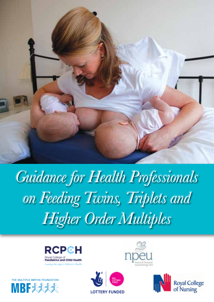

# *Guidance for Health Professionals on Feeding Twins, Triplets and Higher Order Multiples*

**LOTTERY FUNDED** 







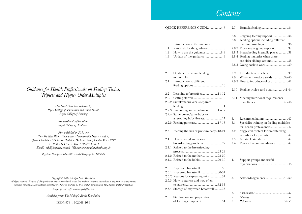## *Contents*

|       |     | QUICK REFERENCE GUIDE4-7                | 2.7  |                                           |
|-------|-----|-----------------------------------------|------|-------------------------------------------|
|       |     |                                         |      |                                           |
|       |     |                                         | 2.8  | Ongoing feeding support 36                |
|       |     |                                         |      | 2.8.1 Feeding options including different |
|       | 1.  | Introduction to the guidance 8          |      | ones for co-siblings36                    |
|       | 1.1 | Rationale for the guidance 8            |      | 2.8.2 Providing ongoing support37         |
|       | 1.2 | How to use the guidance8-9              |      | 2.8.3 Breastfeeding in public places38    |
|       | 1.3 | Update of the guidance 9                |      | 2.8.4 Feeding multiples when there        |
|       |     |                                         |      | are older siblings around38               |
|       |     |                                         |      |                                           |
|       | 2.  | Guidance on infant feeding              | 2.9  | Introduction of solids39                  |
|       |     |                                         |      | 2.9.1 When to introduce solids 39-40      |
|       | 2.1 | Introduction to different               |      | 2.9.2 How to introduce solids  41         |
|       |     |                                         |      |                                           |
|       |     |                                         |      | 2.10 Feeding triplets and quads41-44      |
|       | 2.2 | Learning to breastfeed11-12             |      |                                           |
|       |     |                                         | 2.11 | Meeting nutritional requirements          |
|       |     | 2.2.2 Simultaneous versus separate      |      |                                           |
|       |     |                                         |      |                                           |
|       |     | 2.2.3 Positioning and attachment15-17   |      |                                           |
|       |     | 2.2.4 Same breast/same baby or          |      |                                           |
|       |     | alternating baby/breast 17              | 3.   | Recommendations  47                       |
|       |     |                                         | 3.1  | Specialist training on feeding multiples  |
|       |     |                                         |      | for health professionals 47               |
|       | 2.3 | Feeding the sick or preterm baby18-21   | 3.2  | Suggested content for breastfeeding       |
|       |     |                                         |      | workshops for parents  47                 |
|       | 2.4 | How to avoid and resolve                | 3.3  | Auditable standards 47                    |
|       |     | breastfeeding problems 22               | 3.4  | Research recommendations47                |
|       |     | 2.4.1 Related to the breastfeeding      |      |                                           |
|       |     |                                         |      |                                           |
|       |     |                                         |      |                                           |
|       |     |                                         | 4.   | Support groups and useful                 |
|       |     |                                         |      |                                           |
|       | 2.5 | Expressed breastmilk30                  |      |                                           |
|       |     | 2.5.1 Expressed breastmilk30-31         |      |                                           |
|       |     | 2.5.2 Reasons for expressing milk 31    | 5.   | Acknowledgements49-50                     |
| eans, |     | 2.5.3 How to express and how often      |      |                                           |
| n.    |     |                                         |      |                                           |
|       |     | 2.5.4 Storage of expressed breastmilk33 |      |                                           |
|       |     |                                         | 6.   |                                           |
|       | 2.6 | Sterilisation and preparation           | 7.   |                                           |
|       |     | of feeding equipment34                  | 8.   |                                           |

## *Guidance for Health Professionals on Feeding Twins, Triplets and Higher Order Multiples*

*This booklet has been endorsed by: Royal College of Paediatrics and Child Health Royal College of Nursing*

> *Reviewed and supported by: Royal College of Midwives*

*First published in 2011 by: The Multiple Births Foundation, Hammersmith House, Level 4, Queen Charlotte's & Chelsea Hospital, Du Cane Road, London W12 0HS Tel: 020 3313 3519 Fax: 020 8383 3041 Email: mbf@imperial.nhs.uk Website: www.multiplebirths.org.uk*

*Registered Charity no: 1094546 Limited Company No: 4426289*

*Copyright © 2011 Multiple Births Foundation All rights reserved. No part of this publication may be reproduced, stored in a retrieval system or transmitted in any form or by any means electronic, mechanical, photocopying, recording or otherwise, without the prior written permission of the Multiple Births Foundation.*

*Images by Gaby Jeffs www.magnetofilms.com*

*Available from: The Multiple Births Foundation*

ISBN: 978-1-902068-16-9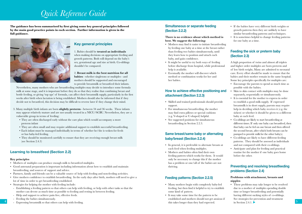## *Quick Reference Guide*

**The guidance has been summarised by first giving some key general principles followed by the main good practice points in each section. Further information is given in the full guidance.**



## **Key general principles**

1. Babies should be **treated as individuals** when making decisions on appropriate feeding and growth patterns. Both will depend on the baby's sex, gestational age and size at birth. Co-siblings shouldn't be compared.

2. **Breast milk is the best nutrition for all babies** - whether singletons or multiples - and mothers should be supported and encouraged to provide breastmilk or breastfeed their infants.

Nevertheless, many mothers who are breastfeeding multiples may decide to introduce some formula milk at some stage, and it is important before they do so that they realise that combining breast and bottle feeding, or giving 'top ups' of formula, can affect their breastmilk supply, particularly in the first weeks after birth when lactation is being established. Mothers should also be informed that if they decide not to breastfeed, this decision may be difficult to reverse later if they change their mind.

- 3. Many multiple birth infants are born **slightly preterm** between 34 and 36 weeks. These infants may appear relatively mature and are not usually treated in a NICU/SCBU. Nevertheless, they are a vulnerable group in terms of feeding:
	- They are often discharged early without the care plan which would accompany a more preterm infant
	- They are often small and may require additional support to establish successful breastfeeding.
	- Each infant must be managed individually in terms of whether he/she is woken for feeds or has baby-led feeding.
	- They should be monitored carefully to ensure that they are receiving enough breast milk (see Section 2.4.3)

## **Learning to breastfeed (Section 2.2)**

#### **Key principles**

- Mothers of multiples can produce enough milk to breastfeed multiples.
- Good antenatal preparation is important including information about how to establish and maintain breastfeeding, and sources of support and advice.
- Partners, family and friends can be a valuable source of help with feeding and non-feeding activities.
- Give mothers confidence to establish breastfeeding. In the early days after birth, mothers will need to give a lot of time in order to get breastfeeding established.
- Strategies for helping the mother with feeding include:
- Establishing a feeding pattern so that others can help with feeding, or help with other tasks so that the mother can devote as much time as possible to feeding and resting in between feeding.
- Help and support to achieve pain free, effective feeds.
- Feeding the babies simultaneously.
- 

## **Simultaneous or separate feeding (Section 2.2.2)**

#### **There is no evidence about which method is best. We suggest the following:**

- Mothers may find it easier to initiate breastfeeding by feeding one baby at a time at the breast rather than feeding two babies simultaneously, until they learn how to position and attach each baby, and gain confidence.
- It might be useful to try both ways of feeding before discharge from hospital, while professional help is available.
- Eventually the mother will discover which method or combination works for her and her babies.

## **How to achieve effective positioning and attachment (Section 2.2.3)**

- Skilled and trained professionals should provide support.
- For simultaneous breastfeeding, the mother may find extra pillows or special cushions (e.g. V-shaped or U-shaped) helpful.
- See suggested positions for simultaneous breastfeeding in Section 2.2.3.

## **Same breast/same baby or alternating baby/breast (Section 2.2.4)**

- In general, it is preferable to alternate breasts at each feed when feeding multiples.
- Mothers and babies often find their own feeding pattern which works for them. It would only be necessary to change this if the mother has a problem or one/all of the babies are not thriving.

## **Feeding patterns (Section 2.2.5)**

- Many mothers begin with completely baby-led feeding, but then find it helpful to try to establish some kind of pattern.
- **56 56 45** Expressing breastmilk so that others can help with feeding. • It may take some time for the pattern to be established and mothers should not get anxious if this takes longer than they had expected.
- If the babies have very different birth weights or growth patterns then they are unlikely to have similar breastfeeding patterns and techniques.
- It is sometimes helpful to change feeding patterns for one baby at a time.

## **Feeding the sick or preterm baby (Section 2.3)**

A high proportion of twins and almost all triplets and higher order multiples are born preterm and of low birth weight, Many are admitted to neonatal care. Every effort should be made to ensure that the babies and their mother remain in the same hospital. Some key principles specifically for multiples are:

- Encourage the parents to spend as much time as possible with the babies.
- Skin to skin contact with multiples may be done separately, sequentially or simultaneously.
- It is essential for the mother to express in order to establish a good milk supply. If expressed breastmilk is in short supply, parents may require help in deciding which baby receives it (e.g. the sickest) or whether it should be given to a different baby at each feed.
- Co-siblings are likely to start breastfeeding at different times. If only one baby can breastfeed, then that baby can be fed on one breast and then offered the second breast, after which both breasts can be pumped to provide milk for the other baby(s).
- Co-siblings are likely to have different feeding patterns. They should be assessed as individuals and not compared with their co-siblings.
- Anticipate and plan for feeding and practical routine for the mother if one baby goes home before the other.

## **Preventing and resolving breastfeeding problems (Section 2.4)**

#### **Problems with attachment, breasts and nipples**

• These problems may take longer to be resolved due to a mother of multiples spending double time or longer breastfeeding and potentially having different sucking styles of co-siblings. See strategies for prevention and treatment in Section 2.4.1. $\blacktriangleright$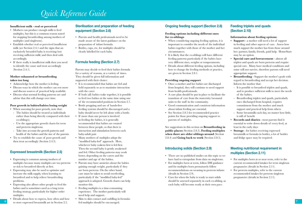## *Quick Reference Guide*

#### **Insufficient milk - real or perceived**

- Mothers can produce enough milk to feed multiples, but this is a common reason stated for stopping breastfeeding among mothers of multiples (and singletons).
- Establish whether real or perceived insufficient milk (see Section 2.4.1 and the signs that an exclusively breastfed baby is receiving/not receiving sufficient milk) and then deal with accordingly.
- If there really is insufficient milk then you need to identify the cause and treat accordingly (Section 2.4.1).

#### **Mother exhausted or breastfeeding takes too long**

- Acknowledge how the mother is feeling.
- Discuss ways in which the mother can rest more and discuss sources of practical help available.
- Discuss what normal feeding patterns are and advise that this will change over time.

#### **Poor growth in babies/babies losing weight**

- When assessing for poor growth, note that:
- The babies should be treated as individuals rather than being directly compared with their co-sibling(s).
- Use the appropriate growth charts for term and preterm singletons.
- Take into account the growth patterns and health of the babies and the size of the parents.
- Try to establish the cause of poor growth and then treat accordingly (Section 2.4.3).

## **Expressed breastmilk (Section 2.5)**

- Expressing is common among mothers of multiples because many multiples are too preterm or sick to breastfeed directly at first.
- Expressing may also be used to optimise and increase the milk supply, when learning to breastfeed and to help relieve breastfeeding problems.
- Expressing also allows other people to feed the babies and is sometimes used as a long term feeding strategy, particularly for higher order multiples.
- **6 7** to store expressed breastmilk are in Section 2.5. • Details about how to express, how often and how

## **Sterilisation and preparation of feeding equipment (Section 2.6)**

- Parents and health professionals need to be made aware of the latest guidance on the preparation of infant formula.
- Bottles, cups, etc, for multiples should be clearly labelled for each baby.

## **Formula feeding (Section 2.7)**

Parents may decide to feed their babies formula for a variety of reasons, at a variety of times. They should be given full information and supported with their choice:

- It is recommended that babies are fed and held separately so as to maximise interaction with the carer.
- If both (all) babies wake together, it is possible to feed two babies at the same time using one of the recommended positions in Section 2.7.
- Bottle propping and use of hands-free feeding systems should be discouraged and a baby should never be left alone with a bottle.
- If more than one person is involved in feeding the babies, it is generally recommended that babies are rotated between these people, so that there is interaction and stimulation between each baby-adult pair.
- Many mothers of multiples adopt the "modified baby-led" approach. Here, whichever baby wakens first is fed first. Then the second baby is gently awakened and fed. Other feeding patterns may work better, depending on the carers and the number and age of the babies.
- Parents may have anxieties about the babies gaining enough weight, particularly if they are born preterm. On the other hand, care must be taken to avoid overfeeding, particularly if the "modified baby-led" approach is adopted. Growth charts can help monitor this.
- Feeding multiples is a time-consuming experience. The mother particularly will need help and support.
- Skin to skin contact and cuddling in formulafed multiples should be encouraged.

## **Ongoing feeding support (Section 2.8)**

#### **Feeding options including different ones for co-siblings**

- When considering ongoing feeding options, it is important to consider the needs of the individual babies together with those of the mother and her circumstances.
- It is likely that the co-siblings will have different feeding patterns particularly if the babies have very different sizes, weights or temperaments.
- Details about different feeding options, including how to change the feeding methods or practice, are given in Section 2.8.1.

#### **Providing ongoing support**

- Once a mother and her babies are discharged from hospital, they will continue to need support from health professionals.
- A care plan should be put in place to facilitate the transition of care from the maternity/neonatal units to the staff in the community.
- Good communication and consistent information about infant feeding are essential.
- See Section 2.8.5 for recommended practice points for those providing ongoing support to parents of multiples.

See suggestions in this section on **Breastfeeding in public places** (Section 2.8.3), **Feeding multiples when there are older siblings around** (Section 2.8.4) and **Going back to work** (Section 2.8.5).

## **Introducing solids (Section 2.9)**

- There are no published studies on this topic so we have had to extrapolate from data on singletons.
- For multiples born at term, follow DH guidance and for multiples born prematurely follow recommendations on weaning in preterm infants (details in Section 2.9).
- Cues for when the baby is ready to start solids should be assessed separately in each co-sibling, as each baby will become ready at their own pace.

## **Feeding triplets and quads (Section 2.10)**

#### **Information about feeding options:**

- **Support** a mother will need a lot of support in feeding and other aspects of care. Assess how much support the mother has from those around her: partner, family, friends, paid help. HomeStart may be an option.
- **Special care and bereavement**  almost all triplets and quads are born preterm and require special care. Many have medical conditions and some will not survive, therefore parents will need appropriate support.
- **Breastfeeding** Support the mother's goals with regard to breastfeeding and accept her decision. Inform the mother that:
- It is possible to breastfeed triplets and quads, and to produce sufficient milk to meet the needs of the babies.
- Breastfeeding triplets and quads, particularly once discharged from hospital, requires commitment from the mother and much support and practical help from others.
- Some breastmilk each day, no matter how little, is still of benefit
- **Records and diaries** most parents find it essential to write down details of every feed, at least in the early days
- **Storage** for babies receiving expressed breastmilk or formula in bottles, a lot of bottles and fridge space may be required.

## **Meeting nutritional requirement in multiples (Section 2.11)**

- For multiples born at or near term, refer to the current recommended intakes for term singleton pregnancies (details in Section 2.11).
- For preterm multiples, refer to the current recommended intakes for preterm singleton pregnancies (details in Section 2.11).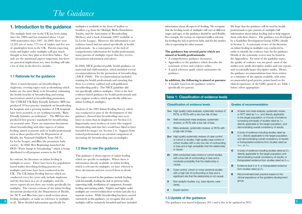## *The Guidance*

## **1. Introduction to the guidance**

The multiple birth rate in the UK has been rising since the 1980s and has remained above 14 per 1000 maternities since 1997. In 2009, there were 12,595 sets of twins, 172 sets of triplets and five sets of quadruplets born in the UK. Parents expecting twins and higher order multiples will give much thought to how they plan to feed their babies. Not only are the nutritional aspects important, but there are practical implications too, since feeding will take a lot of time in the first few months.

### **1.1 Rationale for the guidance**

There is much literature on breastfeeding in singletons, covering topics such as identifying which babies are the most likely to be breastfed, estimating the health benefits of breastfeeding and testing interventions aimed at breastfeeding promotion. The UNICEF UK Baby Friendly Initiative (BFI) has produced 10 best practice standards on breastfeeding for hospitals and a growing number of UK hospitals have been awarded, or are working towards, "Baby Friendly Initiative accreditation". The BFI has also produced best practice standards for breastfeeding on neonatal units. There are numerous documents about breastfeeding and other aspects of infant feeding, aimed at parents and/or health professionals such as those produced by the Department of Health, the National Childbirth Trust (NCT), La Leche League, and Bliss (the premature baby society). In 2008, Best Beginnings launched the DVD *"From bump to breastfeeding"* which is being distributed to all pregnant women in the UK.

In contrast, the literature on infant feeding in multiples is scarce. There have been few populationbased studies describing feeding practices in multiples and none have been conducted in the UK. The UK Infant Feeding Surveys which are conducted every five years only include singletons and the first-born in a set of multiples, and the survey reports do not show any results specifically for multiples. The current versions of the infant feeding documents produced by the Department of Health, the NCT, and Bliss have just a small section about feeding multiples, or make no reference to multiples at all. More detailed information specifically for

multiples is available in the form of leaflets or booklets (e.g. from the Multiple Births Foundation, Tamba, and the Association of Breastfeeding Mothers) and a book *(Gromada 2007* available at La Leche League). However, this information is not evidence based and not aimed specifically at health professionals. As a consequence of the lack of comprehensive information for health professionals, many parents of multiples report that they receive inconsistent information and advice.

In 2008, NICE produced public health guidance on maternal and child nutrition, which included several recommendations for the promotion of breastfeeding *(NICE 2008).* The recommendations included training for health professionals and ensuring that there is a written, audited and well-publicised breastfeeding policy. The NICE guideline did not specifically address multiples. Ours is the first evidence-based guidance for health professionals and peer support workers which specifically addresses infant feeding in multiples.

Analysis of the 2005 Infant Feeding Survey, which was conducted as part of the development of this guidance, showed that breastfeeding rates were lower in twins than in singletons (see Section 2.2). Importantly, most mothers of twins who stopped breastfeeding said that they would have liked to have breastfed for longer (see Section 2.4). Support from trained professionals is an essential component of increasing the breastfeeding rates in multiples.

## **1.2 How to use the guidance**

This guidance is about aspects of infant feeding which are specific to multiples. Where there is information already available on infant feeding which is relevant for multiples, we have referred to these documents and not covered them in detail.

**8 at all.** More detailed information specifically for multiples will be exclusively breastfed and have included **1998 1998 1998 1998 1999 1999 1999 1999 1999 1999 1999 1999 1999 1999 1999 1** The topics covered in this guidance include feeding with breastmilk, feeding the sick or preterm baby, expressing milk, sterilisation of equipment, formula feeding and starting solids. Triplets and higher order multiples are covered within these sections and also in a separate section. While breastfeeding has been covered extensively in this guidance, we recognise that not all multiples will be exclusively breastfed and have included

information about all aspects of feeding. We recognise that the feeding needs of multiples will vary at different stages and ages, so the guidance should be used flexibly. For example, the section on expressed milk is relevant for feeding the sick or preterm baby, and for the mother who is expressing for other reasons.

#### **The guidance has several parts which are aimed at health professionals:**

- A comprehensive guidance document.
- Appendices to the guidance which describe the systematic review and evidence tables.
- A quick reference guide which summarises the guidance.

#### **In addition, the following is aimed at parents:**

**Table 1: Classification of evidence levels**

• A booklet based on the guidance written specifically for parents.

We hope that the guidance will be used by health professionals to give parents of multiples full information about infant feeding and to help support them with their choices. The guidance was developed by a Guideline Development Group (GDG) (details in Section 5). A systematic review of the literature on infant feeding in multiples was conducted in order to identify the evidence base for the guidance. Details of the systematic review may be found in the Appendices. For most of the guideline topics, the quality of evidence was not good - most of the studies were small, descriptive studies and case reports, and occasionally larger descriptive studies. Hence, the guidance recommendations have been written as a summary of the options available, with some recommended good practice points based on the clinical experience of the GDG (grade E, see Table 1 below) where appropriate.

#### **Classification of evidence levels 1++** High quality meta-analyses, systematic reviews of RCTs, or RCTs with a very low risk of bias. **1+** Well-conducted meta-analyses, systematic reviews, or RCTs with a low risk of bias. **1-** Meta-analyses, systematic reviews, or RCTs with a high risk of bias. 2++ High quality systematic reviews of case control or cohort or studies. High quality case control or cohort studies with a very low risk of confounding or bias and a high probability that the relationship is causal. **2+** Well-conducted case control or cohort studies with a low risk of confounding or bias and a moderate probability that the relationship is causal. **2-** Case control, cohort or cross-sectional studies with a high risk of confounding or bias and a significant risk that the relationship is not causal. **Grades of recommendation A** At least one meta-analysis, systematic review, or RCT rated as 1++, and directly applicable to the target population; or A body of evidence consisting principally of studies rated as 1+, directly applicable to the target population, and demonstrating overall consistency of results. **B** A body of evidence including studies rated as 2++, directly applicable to the target population, and demonstrating overall consistency of results; *or* Extrapolated evidence from studies rated as 1++ *or* 1+. **C** A body of evidence including studies rated as 2+, directly applicable to the target population and demonstrating overall consistency of results; *or* Extrapolated evidence from studies rated as 2++. **D** Evidence level 3 or 4; or Extrapolated evidence from studies rated as 2+. **E** Recommended best practice based on the

clinical experience of the guideline development group.

## **1.3 Update of the guidance**

series. **4** Expert opinion.

**3** Non-analytic studies, e.g. case reports, case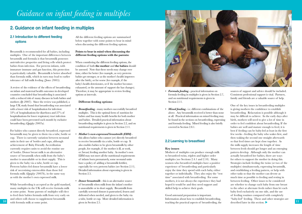## *Guidance on infant feeding in multiples*

## **2. Guidance on infant feeding in multiples**

## **2.1 Introduction to different feeding options**

Breastmilk is recommended for all babies, including multiples. One of the important differences between breastmilk and formula is that breastmilk possesses anti-infective properties and living cells which protect babies from infection. For preterm infants, with immature immune and gut function, this protection is particularly valuable. Breastmilk is better absorbed than formula milk, which in turn may lead to earlier tolerance of full milk feeding *(Jones 2005).*

A review of the evidence of the effects of breastfeeding on infant and maternal health outcomes in developed countries concluded that breastfeeding is associated with a reduced risk of many diseases in both babies and mothers *(Ip 2007).* Since the review was published, a large UK study found that breastfeeding was associated with a lower risk of hospitalisation for infection: 53% of hospitalisations for diarrhoea and 27% of hospitalisations for lower respiratory tract infection could have been prevented each month by exclusive breastfeeding *(Quigley 2007a).*

For babies who cannot directly breastfeed, expressed breastmilk may be given to them via a tube, bottle or cup. There is currently variation between neonatal units in their use of bottles and cups, although achievement of Baby Friendly Accreditation currently requires units to avoid the routine use of bottles. Donor breast milk is an alternative source of breastmilk when milk from the baby's mother is unavailable or in short supply. This is given to the baby via a tube, bottle or cup. Preterm babies fed donor breastmilk have a lower risk of necrotising enterocolitis than those fed formula milk *(Quigley 2007b),* in the same way as with the mother's own expressed milk.

10 with formula milk at some point. given in Section 2.5. While breastfeeding is accepted as the gold standard, many multiples in the UK will receive formula milk at some point. Some parents of multiples will elect to feed their babies formula milk from very early on and others will choose to supplement breastmilk with formula milk at some point.

All the different feeding options are summarised below together with some points to bear in mind when discussing the different feeding options.

#### **Points to bear in mind when discussing the different feeding options with the parents:**

When considering the different feeding options, the condition of both **the mother** and **the babies** should be assessed. Note that these needs may change over time, either for better (for example, as very preterm babies get stronger, or as the mother's health improves after the birth), or for worse (for example, if the baby's health deteriorates, or if the mother becomes exhausted, or the amount of support she has changes). Therefore, it may be appropriate to review feeding options at intervals.

#### **Different feeding options:**

- *Breastfeeding* many mothers successfully breastfeed multiples. This is the optimal form of nutrition for babies and has many health benefits for both mother and babies. Detailed practical information about breastfeeding multiples is given in Section 2.2, and on nutritional requirements is given in Section 2.11.
- *Mother's own expressed breastmilk (EBM)* this allows babies who cannot (yet) directly breastfeed to receive breastmilk via a tube, bottle or cup. It also enables babies to be given breastmilk by other people, for example, if the mother is ill, at work, or (breast) feeding another baby. As mother's own EBM may not meet all the nutritional requirements of infants born prematurely, some neonatal units have a policy of adding a breastmilk fortifier, especially for very preterm babies (see Section 2.11). Detailed information about expressing is given in Section 2.5.
- *Donor breastmilk* this is an alternative source of breastmilk when milk from the infant's mother is unavailable or in short supply. Breastmilk from carefully screened donors is pasteurised, frozen and defrosted when needed, and given to the baby via a tube, bottle or cup. More detailed information is given in Section 2.5.



- *Formula feeding* practical information on formula feeding in multiples is given in Section 2.7, and on nutritional requirements is given in Section 2.11.
- *Mixed feeding* i.e. different combinations of the above. Any breastmilk received is better than none at all. Practical information on mixed feeding may be found in the sections on breastfeeding, expressing and formula feeding. Mixed feeding is also briefly covered in Section 2.8.1.

#### **2.2 Learning to breastfeed**

#### **Key issues**

Mothers of multiples can produce enough milk to breastfeed twins, triplets and higher order multiples (see Sections 2.4.1 and 2.10). Many women who breastfeed multiples have a positive experience of breastfeeding and particularly enjoy the time they spend with each baby, either together or individually. They also enjoy the "rest time" associated with breastfeeding. For some mothers, it is not always the experience they had hoped it would be and they need support and skilled help to achieve their goals.

Good antenatal preparation is important. Information about how to establish breastfeeding, sources of support and advice should be included. Consistent professional support is vital. Partners, family and friends are a valuable source of help.

One of the key issues in breastfeeding multiples is giving mothers the confidence to establish breastfeeding. Relactation is possible although it may be difficult to achieve. In the early days after birth, mothers will need to give a lot of time in order to feel confident about breastfeeding. If the babies are well and mature enough to feed, it is best if feeding can be baby-led at least in the first few weeks - feeding the baby who wakes first, and then waking the second one straight afterwards so that feed times are kept close together. As the milk supply increases the length of time between feeds should get longer and an emerging pattern develop. Although only the mother can actually breastfeed her babies, there are ways for others to support the mother in doing this. Strategies include feeding the twins (or two of the multiples) simultaneously, expressing breastmilk, and establishing a feeding pattern, or help with other tasks so that the mother can devote as much time as possible to feeding and resting in between feeding. Other issues to be considered are whether to change each baby from one breast to the other at alternate feeds rather than let each baby feed exclusively on one side, and the use of feeding routines compared with completely "baby-led" feeding. These and other strategies are described later in this section.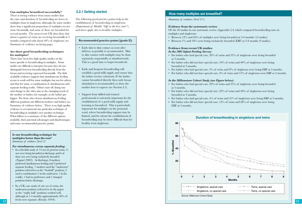#### **Can multiples breastfeed successfully?**

There is strong evidence from many studies that the rates and duration of breastfeeding are lower in multiples than in singletons, although the same studies show that a significant proportion of multiples receive some breastmilk, and some of these are breastfed for several months. The most recent UK data show that about a quarter of twins are receiving breastmilk at 3 months compared with about 40% of singletons (see Summary of evidence on facing page).

#### **Are there good breastfeeding techniques for multiples?**

There have been few high quality studies on the issues specific to breastfeeding in multiples. Some studies are difficult to interpret because they do not distinguish between breastfeeding directly from the breast and receiving expressed breastmilk. The little available evidence suggests that simultaneous feeding seems to work well for some multiples but not for others, and that for some, a combination of simultaneous and separate feeding works. Others start off doing one and change to the other due to the changing needs of the mother or babies, for example, as the babies get bigger. For those who choose simultaneous feeding, different positions suit different mothers and babies (see Summary of evidence below). There is no high quality evidence to recommend one particular technique of breastfeeding in multiples over another technique. What follows is a summary of the different options available, their potential advantages and disadvantages, and some recommended practice points.

#### **Is one breastfeeding technique for multiples better than the rest?**  *Summary of evidence [level 3]*

#### *For simultaneous versus separate feeding:*

- In a Swedish study of 13 sets of preterm twins, 11 sets were being breastfed at discharge and 6 of these sets were being exclusively breastfed *(Nyquist 2002).* At discharge, 8 mothers preferred simultaneous feeding and 3 preferred separate feeding. 7 mothers used the "underarm" position (referred to as the "football" position), 2 used a combination (1 in the underarm, 1 in the cradle), 1 had no preference and 1 changed positions before discharge.
- In a UK case study of one set of twins, the underarm position (referred to in the paper as the "rugby ball" position) worked well, although at 1-3 months approximately 40% of feeds were separate *(Emsley 1994)*.

### **2.2.1 Getting started**

The following good practice points help in the establishment of breastfeeding in singletons *(Department of Health "Off to the best start")*, and these apply also to healthy multiples.

#### **Recommended practice points [grade E]:**

- Early skin to skin contact as soon after delivery as possible is recommended. Skin to skin contact with multiples may be done separately, sequentially or simultaneously. This is a good time to begin breastfeeds.
- Early and frequent breastfeeding will establish a good milk supply and ensure that the babies receive colostrum. If the babies cannot breastfeed directly then early breast stimulation is recommended, to show the mother how to express (see Section 2.5).
- Support from skilled and trained professionals is extremely important for the establishment of a good milk supply and learning to breastfeed. This is particularly important for multiples on the postnatal ward, where breastfeeding support may be limited, and for whom the establishment of breastfeeding may be more difficult than for healthy term singletons.

### **How many multiples are breastfed?**

#### *Summary of evidence [level 2+]*

#### **Evidence from the systematic review**

Of the 20 studies in our systematic review (Appendix 2.4) which compared breastfeeding rates in multiples and singletons:

- Between 12% and 64% of multiples were being breastfed at 3-4 months (12 studies)
- Between 1% and 18% were being exclusively breastfed (EBF) at 3-4 months (9 studies).

#### **Evidence from recent UK studies**

#### *In the 2005 Infant Feeding Survey:*

- For babies who had special care, 20% of twins and 33% of singletons were being breastfed at 3 months.
- For babies who did not have special care,  $19%$  of twins and  $40%$  of singletons were being breastfed at 3 months.
- For babies who had special care, 5% of twins and 9% of singletons were being EBF at 3 months.
- For babies who did not have special care, 4% of twins and 15% of singletons were EBF at 3 months.

#### *In the Millennium Cohort Study (see Figure below):*

- For babies who had special care, 29% of twins and 35% of singletons were being breastfed at 3 months.
- For babies who did not have special care, 22% of twins and 40% of singletons were being breastfed at 3 months.
- For babies who had special care,  $4\%$  of twins and  $21\%$  of singletons were being EBF at 3 months.
- For babies who did not have special care,  $12\%$  of twins and  $28\%$  of singletons were being EBF at 3 months.

#### **Duration of breastfeeding in singletons and twins**

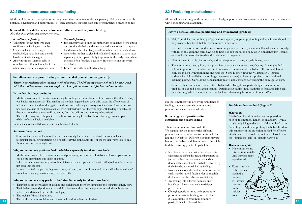#### **2.2.2 Simultaneous versus separate feeding**

Mothers of twins have the option of feeding their infants simultaneously or separately. Below are some of the potential advantages and disadvantages of each approach, together with some recommended practice points.

#### **Some of the key differences between simultaneous and separate feeding**

*Note that these points may change over time.*

#### *Simultaneous feeding:*

#### *Separate feeding:*

- Takes time for the mother to gain confidence in feeding two together.
- Once simultaneous feeding is established, it saves time and there is less disruption in the night.
- Allows the more vigorous baby to stimulate the milk ejection reflex in the other breast for the less vigorous baby.
- 
- It is generally easier, since the mother has both hands free to attach and position the baby, and once attached, the mother has a spare hand to rock the other baby, cuddle another child or hold a drink.
- Allows the mother to give individualised attention to each baby separately; this is particularly important in the early days, when mothers often feel they have very little one-to-one time with each baby.
- Easy to discreetly breastfeed one baby.

#### **Simultaneous or separate feeding - recommended practice points [grade E]:**

*There is no evidence about which method is best. The following options should be discussed with the mother so that she can explore what options work best for her and her babies.*

#### **In the first few days, try both:**

- Mothers may prefer to initiate breastfeeding by feeding one baby at a time at the breast rather than feeding two babies simultaneously. This enables the mother to get to know each baby, assess the effectiveness of infant attachment and suckling, gain confidence, and make any necessary modifications. Also, in the first few days, mothers of multiples often feel overwhelmed with how they will cope with feeding two babies at the same time when they are still recovering from the delivery and learning to breastfeed.
- The mother may find it helpful to try both ways of feeding her babies before discharge from hospital, while professional help is available.

In time the mother will discover which method works for her.

#### **Some mothers do both:**

• Some mothers may prefer to feed the babies separately for most feeds, and will reserve simultaneous feeding for special circumstances e.g. two babies crying at the same time, or the mother wants to feed in a shorter time such as at night time.

#### **Why some mothers prefer to feed the babies separately for all or most feeds:**

- Mothers can ensure effective attachment and positioning, feel more comfortable and less conspicuous, and can devote attention to one infant at a time.
- When feeding simultaneously, one or both infants may not cope with a forceful milk ejection reflex or may not settle into the feed.
- Women may feel trapped feeding two at once, awkward, too conspicuous and some dislike the sensation of two infants suckling simultaneously, but differently.

#### **Why some mothers may prefer to feed simultaneously for all or most feeds:**

- Their babies are more skilled at latching and suckling and therefore simultaneous feeding is relatively easy.
- Their babies respond positively to a co-sibling feeding at the same time (e.g. copes with the milk ejection reflex, is not distracted by the other multiple).
- The saving of time is important.
- The mother is more confident and comfortable with simultaneous feeding.

#### **2.2.3 Positioning and attachment**

Almost all breastfeeding mothers need practical help, support and encouragement at some stage, particularly with positioning and attachment.

#### **How to achieve effective positioning and attachment [grade E]**

- Help from skilled and trained professionals or support groups on positioning and attachment should be provided. See list of helpful organisations in Section 7.
- Even when a mother is confident with positioning and attachment, she may still need someone to help with feeds at least in the early days e.g. to help position the second baby when simultaneously feeding, or to look after co-sibling(s) when the babies are fed separately.
- Identify a comfortable chair or sofa, and put the phone, a drink, etc, within easy reach.
- The mother may need pillows to support her back when she starts breastfeeding. She might find it helpful to position extra pillows on her knees to take the weight of the babies. Try using different cushions to help with positioning and support. Some mothers find the V-shaped or U-shaped cushions helpful (available at most large department stores) while others prefer to use additional ordinary pillows. Care should be taken that pillows and cushions don't bring the baby up too high.
- Some mothers find it easier to feed their babies when lying down, particularly if the mother is tired, ill, or has had a caesarean section. Details about babies' innate abilities to feed and 'laid back breastfeeding' where the mother is lying back on pillows may be found in *Colson 2005.*

For those mothers who are trying simultaneous feeding, there are several commonly used positions which are described below.

#### **Some suggested positions for simultaneous breastfeeding**

There are no rules on how to do this. We suggest that the mother tries different positions and does whatever is comfortable for her and her babies. Different positions may suit her and her babies at different times. She might find the following practical tips helpful.

- It is often easier to start with the baby who is experiencing difficulties in attaching effectively (as the mother has two hands free and can devote all her attention to this baby) followed by the baby who is more skilled at feeding.
- In other situations, the avid feeder who attaches easily may be started first in order to establish the letdown for the baby having difficulty.
- Try feeding with different cushions and in different places - women have different preferences.
- **14 15** • Changing positions may be important to prevent or assist in healing sore nipples. It is also useful to assist milk drainage particularly with blocked ducts.

#### **Double underarm hold (Figure 1)**

#### *What is it?*

A baby's neck and shoulders are supported in each of the mother's hands (or on a pillow) with a baby's body lying under each of the mother's arms. Avoid fingers and hand pushing the baby's head as this can prevent the extension needed for effective attachment. This hold is sometimes referred to as the "double football" or "double rugby ball".

#### *When is it useful?*

- Many mothers use this position initially until they get more experienced.
- Useful position if the mother has had a caesarean as it avoids pressure on the incision area.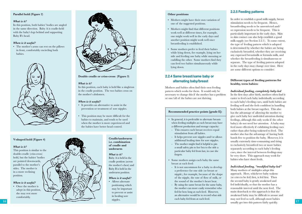#### **Parallel hold (Figure 2)**

#### *What is it?*

In this position, both babies' bodies are angled in the same direction. Baby A is cradle-held with the baby's legs behind and supporting Baby B's head.

#### *When is it useful?*

• The mother's arms can rest on the pillows in front, comfortably encircling both babies.



#### **V-shaped hold (Figure 4)**

#### *What is it?*

This position is similar to the double-cradle (criss-cross) hold, but the babies' bodies are pointed downwards, parallel to the mother's sides. The mother is in a more reclining position.

#### *When is it useful?*

• Once the mother is adept in this position, she may rest more comfortably.



**Double cradle or criss-cross (Figure 3)**

#### *What is it?*

In this position, each baby is held like a singleton in the cradle position. The two babies cross on the mother's abdomen.

#### *When is it useful?*

- It provides an alternative to assist in the prevention or treatment of sore nipples.
- This position may be more difficult for the babies to maintain, and tends to be used when the mother is more experienced and the babies have better head control.

## **underarm** *What is it?*

Baby A is held in the cradle position (across the mother's chest) and Baby B is held in the underarm position.

**Cradle/underarm i.e. combination of cradle and** 

#### *When is it useful?*

• Allows alternate positioning which may be important to prevent or assist in healing sore nipples.

#### **Other positions**

- Mothers might have their own variation of one of the suggested positions.
- Mothers might find that different positions work well at different times, for example, one might work well in the early days and another position might work well once breastfeeding is established.
- Some mothers prefer to feed their babies while lying down, for example, lying on her side and feeding one baby while snoozing or cuddling the other. Some mothers find they can feed two babies simultaneously while lying down.

## **2.2.4 Same breast/same baby or alternating baby/breast**

Mothers and babies often find their own feeding pattern which works for them. It would only be necessary to change this if the mother has a problem or one/all of the babies are not thriving.

#### **Recommended practice points [grade E]:**

- In general, it is preferable to alternate breasts when feeding multiples as each breast may have a different production and storage capacity:
- This ensures each breast receives equal stimulation from all babies.
- It helps prevent sore nipples and/or allows additional healing time for sore nipples.
- The mother might find it helpful to pin a small safety pin to her bra to the side a particular baby fed from last, in case she forgets.
- Some mothers assign each baby the same breast at each feed:
- It is not uncommon for a baby to develop a preference for one side (or breast or nipple), for example, because of the shape of the nipple, the rate of flow of milk, or the sound of the mother's heart beat.
- By using the same breast for the same baby, the mother can more easily remember who fed for how long at each feed. However an alternative would be to record what side each baby fed from at each feed.

### **2.2.5 Feeding patterns**

In order to establish a good milk supply, breast stimulation needs to be frequent. Hence, breastfeeding needs to be unrestricted and/ or expression needs to be frequent. This is particularly important in the early days. Skin to skin contact can also help establish a good milk supply (see Section 2.2.1). To some extent, the type of feeding pattern which is adopted is determined by whether the babies are being exclusively breastfed, whether they are receiving any expressed breastmilk or formula milk, and whether the breastfeeding is simultaneous or separate. The type of feeding pattern adopted in the early days may change over time. Here are some different options to consider:

#### **Different types of feeding patterns for healthy, term babies:**

#### *Individual feeding, completely baby-led*

In the first days after birth, mothers often find it easier to feed each baby individually according to each baby's feeding cues, until both babies are feeding well and she feels confident in handling both babies at the breast together. This also has the advantage of allowing the mother to give each baby her undivided attention during feedings, although this only works if the other baby(s) do not need her attention. A baby may feed more effectively if exhibiting feeding cues rather than after being wakened to feed. The mother also has the advantage of having both hands free to position the baby. However, it is usually extremely time-consuming and tiring to exclusively breastfeed two or more babies separately according to each baby's feeding cues, since the interval between feedings may be very short. This approach may work for babies who have short feeds.

#### *Individual feeding, "modified baby-led"*

**16 17** usually get into this pattern fairly quickly. Many mothers of multiples adopt this approach. Here, whichever baby wakens (or cries to be fed) first, is fed first. Then the second baby is gently awakened and fed individually, so that the mother has a reasonable interval until the next feed. The main drawback to this approach is that the awakened baby may be difficult to arouse and may not feed so well, although most babies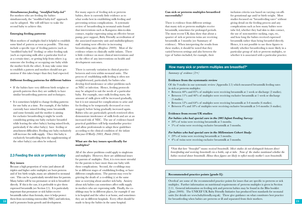#### *Simultaneous feeding, "modified baby-led"*

For mothers who are feeding the babies simultaneously, the "modified baby-led" approach can be adopted. She will still have to wake the second baby to achieve this.

#### **Emerging feeding patterns**

Most mothers of multiples find it helpful to establish some kind of pattern as soon as possible. This may include a specific type of feeding pattern (such as "modified baby-led" feeding) or other feeding task (such as expressing milk after a particular feed or at a certain time), or getting help from others (e.g. someone else feeding or occupying one baby while the mother feeds the other). It may take some time to establish a pattern and mothers should not get anxious if this takes longer than they had expected.

#### **Different feeding patterns for different babies**

- If the babies have very different birth weights or growth patterns then they are unlikely to have similar breastfeeding patterns and techniques.
- It is sometimes helpful to change feeding patterns for one baby at a time. For example, if the babies currently have mixed feeding (some breastmilk and some formula) and the mother is aiming for exclusive breastfeeding it might be worth considering getting one baby exclusive breastfed while leaving the other baby(s) having mixed feeds, particularly if the other baby(s) have feeding or attachment difficulties. Feeding one baby exclusively will increase the milk supply. Once this baby is exclusively breastfeeding then the supplementing of the other baby(s) can often be reduced.

#### **2.3 Feeding the sick or preterm baby**

#### **Key issues**

Because a high proportion of twins (and almost all triplets and higher order multiples) are born preterm and of low birth weight, many are admitted to neonatal care. This can be a particularly stressful time for parents. Many babies will be too premature or sick to breastfeed directly. If this is the case, it is preferable to give them expressed breastmilk (see Section 2.5). It is particularly important that premature or sick babies receive breastmilk rather than formula, since it helps protect them from necrotising enterocolitis (NEC) and infection,

For many aspects of feeding sick or preterm babies, there is currently little evidence as to what works best in establishing milk feeding and preventing serious complications. A systematic review of breastfeeding in neonatal units found that interventions such as Kangaroo skin-to-skin contact, regular expressing using an effective breast pump, peer support, Baby Friendly accreditation of the associated maternity unit and multidisciplinary staff training were effective in increasing breastfeeding rates *(Renfrew 2009).* Most of the evidence relates to clinically stable infants. There is little evidence on more clinical interventions and on the effect of any interventions on health and development outcomes.

There is currently variation in clinical practice between and even within neonatal units. The process of establishing milk feeding is often not straightforward, particularly for babies who develop feed intolerance or other problems such as NEC or infection. Hence, feeding protocols may be adapted to suit the needs of a particular baby. For example, once milk feeding starts, the amount of milk given will be increased gradually, but it is not unusual for complications to arise and for feeding to be temporarily decreased or even stopped, before being gradually increased again. Babies who are particularly growth restricted often demonstrate intolerance of milk feeds and are at an increased risk of NEC. The use of evidence-based practical guidelines will help standardise practice and allow professionals to adapt these guidelines according to the clinical condition of the infant *(Kuzma-O'Reilly 2003, Patole 2005).* 

#### **What are the key issues specifically for multiples?**

18 and it promotes brain growth and development. made to keep the babies in the same hospital. All of the above problems could apply to singletons and multiples. However, there are additional issues for parents of multiples. First, it is even more stressful for the parents to have more than one baby with these complications. Second, the co-siblings may be at different stages of establishing feeding, or have different complications. The parents may even be grieving the death of a co-sibling (s) at the same time as worrying about another sick baby. Anxiety about sick babies can sometimes affect milk supply in mothers who are expressing milk. Finally, the cosiblings may be in different places, for example if one is in hospital and the other is at home, and sometimes they are in different hospitals. Every effort should be made to keep the babies in the same hospital.

#### **Can sick or preterm multiples breastfeed successfully?**

There is evidence from different settings that many sick or preterm multiples receive breastmilk, sometimes for prolonged periods. The most recent UK data show that about a quarter of sick or preterm twins are receiving breastmilk at 3 months (see Summary of evidence). When interpreting the results from these studies, it should be noted that they varied between settings and also between the type of babies included, for example, their

inclusion criteria was based on varying cut-offs for gestational age and/or birth weight. Most studies focussed on "breastfeeding rates" without giving detail on the feeding process and any complications such as how many babies were tube fed, whether they had skin to skin contact, the use of non-nutritive sucking, cups, etc, and how long the babies received expressed breastmilk rather than being breastfed directly. Hence, it is not possible to use these figures to identify whether breastfeeding is more likely in a particular group of sick or preterm multiples, or whether it is associated with a particular practice.

#### **How many sick or preterm multiples are breastfed?\***

#### *Summary of evidence [2+]*

#### **Evidence from the systematic review**

Of the 9 studies in our systematic review (Appendix 2.5) which measured breastmilk feeding rates in sick or preterm multiples:

- Between 40% and 85% of multiples were receiving breastmilk at 1 week or discharge (2 studies).
- Between 11% and 46% of multiples were receiving exclusive breastmilk at 1 week or discharge (3 studies).
- Between 12% and 64% of multiples were receiving breastmilk at 3-4 months (6 studies).
- Between 4% and 18% of multiples were receiving exclusive breastmilk at 3-4 months (4 studies).

#### **Evidence from recent UK studies**

#### *For babies who had special care in the 2005 Infant Feeding Survey:*

- 20% of twins were receiving breastmilk at 3 months.
- 5% of twins were receiving exclusive breastmilk at 3 months.

#### *For babies who had special care in the Millennium Cohort Study:*

- 29% of twins were receiving breastmilk at 3 months.
- 4% of twins were receiving exclusive breastmilk at 3 months.

*\*Note that here "breastfed" means received breastmilk. Most studies do not distinguish between direct breastfeeding and receiving breastmilk via a bottle, cup or tube. None of the studies mentioned whether the babies received donor breastmilk. Hence these figures are likely to reflect mostly mother's own breastmilk.*

#### **Recommended practice points [grade E]:**

Overleaf are some of the recommended practice points for issues that are specific to preterm or sick multiples. Further information on nutritional requirements of preterm multiples is given in Section 2.11. General information on feeding sick and preterm babies may be found in the Bliss booklet *(Jones 2009).* The UNICEF UK Baby Friendly Initiative has produced best standards for neonatal units (for details see www.babyfriendly.org.uk). These give guidance on what constitutes best practice for breastfeeding when babies are preterm or ill and separated from their mothers.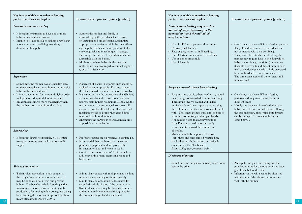| Key issues which may arise in feeding<br>preterm and sick multiples                                                                                                                                                                                                                                                                                                                                      | Recommended practice points [grade E]                                                                                                                                                                                                                                                                                                                                                                                                                                                                                                                                                             | Key issues which may arise in feeding<br>preterm and sick multiples                                                                                                                                                                                                                                                                                                                                                                                                    | Recommended practice points [grade E]                                                                                                                                                                                                                                                                                                                                                                                                                                                                    |
|----------------------------------------------------------------------------------------------------------------------------------------------------------------------------------------------------------------------------------------------------------------------------------------------------------------------------------------------------------------------------------------------------------|---------------------------------------------------------------------------------------------------------------------------------------------------------------------------------------------------------------------------------------------------------------------------------------------------------------------------------------------------------------------------------------------------------------------------------------------------------------------------------------------------------------------------------------------------------------------------------------------------|------------------------------------------------------------------------------------------------------------------------------------------------------------------------------------------------------------------------------------------------------------------------------------------------------------------------------------------------------------------------------------------------------------------------------------------------------------------------|----------------------------------------------------------------------------------------------------------------------------------------------------------------------------------------------------------------------------------------------------------------------------------------------------------------------------------------------------------------------------------------------------------------------------------------------------------------------------------------------------------|
| Parental stress and anxiety<br>• It is extremely stressful to have one or more<br>baby in neonatal intensive care.<br>• Intense stress about sick co-siblings or grieving<br>about a deceased co-sibling may delay or<br>diminish milk supply.<br>Separation                                                                                                                                             | • Support the mother and family in<br>acknowledging the possible effect of stress<br>on lactation and breastfeeding, and initiate<br>appropriate strategies to minimise their effects<br>e.g. help the mother with any practical tasks,<br>encourage relaxation techniques, massage.<br>Encourage the parents to spend as much time<br>as possible with the babies.<br>• Mothers who have babies in the neonatal<br>units should be encouraged to contact support<br>groups (see Section 4).                                                                                                      | Initial enteral feeding may vary in a<br>number of ways depending on the<br>neonatal unit and the individual<br>baby's condition:<br>• Use of TPN (total parenteral nutrition).<br>• Delaying milk feeding.<br>• Rate of progression of milk feeding.<br>• Use of fortifiers in expressed breastmilk.<br>• Use of donor breastmilk.<br>• Use of formula.                                                                                                               | • Co-siblings may have different feeding patterns.<br>They should be assessed as individuals and<br>not compared with their co-siblings.<br>• If expressed breastmilk is in short supply,<br>parents may require help in deciding which<br>baby receives it (e.g. the sickest) or whether<br>it should be given to a different baby at each<br>feed or divided equally with a little expressed<br>breastmilk added to each formula feed.<br>The same issue applies if donor breastmilk<br>is being used. |
| • Sometimes, the mother has one healthy baby<br>on the postnatal ward or at home, and one sick<br>baby on the neonatal ward.<br>• It is not uncommon for twins and higher order<br>multiples to end up in different hospitals.<br>• Breastmilk feeding is more challenging when<br>the mother is separated from the babies.                                                                              | • Placement of babies in separate units should be<br>avoided whenever possible. If it does happen<br>then they should be reunited as soon as possible.<br>• If the mother is on the postnatal ward and baby(s)<br>are in neonatal unit then good communication<br>between staff in these two units is essential e.g. the<br>mother needs to be encouraged to express milk<br>as soon as possible after delivery. Her meals and<br>medicines should be kept for her as feed times<br>may not fit with ward routine.<br>Encourage the parents to spend as much time<br>as possible with the babies. | Progress towards direct breastfeeding<br>• For premature babies, there is often a gradual<br>steady progress towards direct breastfeeding.<br>This should involve trained and skilled<br>professionals and peer support groups using<br>the techniques that they are most comfortable<br>with. These may include cups and/or bottles;<br>non-nutritive sucking; and nipple shields.<br>It should be noted that achievement of<br>Baby Friendly accreditation currently | • Co-siblings may have different feeding<br>patterns and may start breastfeeding at<br>different times.<br>• If only one baby can breastfeed, then that<br>baby can be fed on one side before offering<br>the second breast, after which both breasts<br>can be pumped to provide milk for the<br>other baby(s).                                                                                                                                                                                         |
| Expressing<br>• If breastfeeding is not possible, it is essential<br>to express in order to establish a good milk<br>supply.                                                                                                                                                                                                                                                                             | • For further details on expressing, see Section 2.5.<br>• It is essential that mothers have the correct<br>pumping equipment and are given early<br>instruction on how and when to use it.<br>Consider the use of parents' facilities such as<br>a discreet sitting room, expressing room and<br>bedrooms.                                                                                                                                                                                                                                                                                       | requires units to avoid the routine use<br>of bottles.<br>• Mothers should be supported to move<br>"off" these and onto direct breastfeeding.<br>• For further details, including the available<br>evidence, see the Bliss booklet<br>Breastfeeding your premature baby".<br>Discharge planning                                                                                                                                                                        |                                                                                                                                                                                                                                                                                                                                                                                                                                                                                                          |
| Skin to skin contact<br>This involves direct skin to skin contact of<br>the baby's front with the mother's chest. It<br>may be done with both term and preterm<br>babies. The benefits include fostering earlier<br>initiation of breastfeeding, facilitating milk<br>production, decreasing infant crying, increasing<br>breastfeeding duration and improved mother-<br>infant attachment (Moore 2007). | • Skin to skin contact with multiples may be done<br>separately, sequentially or simultaneously.<br>• Skin to skin contact should be facilitated for<br>extended periods of time if the parents wish.<br>Skin to skin contact may be done with fathers<br>and other family members (although not for<br>the breastfeeding-related advantages).                                                                                                                                                                                                                                                    | • Sometimes one baby may be ready to go home<br>before the other.                                                                                                                                                                                                                                                                                                                                                                                                      | • Anticipate and plan for feeding and the<br>practical routine for the mother if one baby<br>goes home before the other.<br>• Infection control will need to be discussed<br>with the unit if the sibling is to return to<br>visit with the mother.                                                                                                                                                                                                                                                      |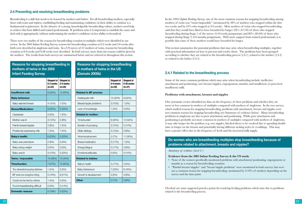### **2.4 Preventing and resolving breastfeeding problems**

Breastfeeding is a skill that needs to be learned by mothers and babies. For all breastfeeding mothers, especially those with twins and triplets, establishing feeding and maintaining confidence in their ability to continue is a fundamental requirement. In the absence of a strong, knowledgeable breastfeeding culture, mothers need help to achieve this from skilled and trained professionals. If problems arise it is important to establish the cause and deal with it appropriately, without undermining the mother's confidence in her ability to breastfeed.

There were two studies of the reasons for breastfeeding cessation in multiples which were identified in our review. In the 2005 Infant Feeding Survey, reasons for breastfeeding cessation at 0-2 weeks and 2-6 weeks after birth were described in singletons and twins. In a US survey of 67 mothers of twins, reasons for breastfeeding cessation at 0-9 weeks and 9-28 weeks were described. In both surveys, more than one reason could be given by the mothers. The results from both surveys are summarised below and are referred to throughout this section.

| Reasons for stopping breastfeeding in<br>mothers of twins in the 2005<br><b>Infant Feeding Survey</b> |                                     | <b>Reasons for</b><br>in mothers o<br>(Damato 20 |                         |
|-------------------------------------------------------------------------------------------------------|-------------------------------------|--------------------------------------------------|-------------------------|
|                                                                                                       | Stopped at<br>0-2 weeks<br>$(n=22)$ | Stopped at<br>2-6 weeks<br>$(n=26)$              |                         |
| <b>Insufficient milk</b>                                                                              | 6 (23%)                             | 12 (55%)                                         | <b>Related to BF pr</b> |
| <b>Baby behaviour</b>                                                                                 |                                     |                                                  | Inadequate milk         |
| Baby rejected breast                                                                                  | 4 (15%)                             | 1(5%)                                            | Breast/nipple pro       |
| <b>Illness/Medication:</b>                                                                            | 6 (23%)                             | 5(23%)                                           | Lack of knowledd        |
| Caesarean                                                                                             | $0(0\%)$                            | 1(5%)                                            | <b>Related to moth</b>  |
| Mother was ill                                                                                        | 3(12%)                              | 2(9%)                                            | Time/burden             |
| Painful breast/nipples                                                                                | 2(8%)                               | 1(5%)                                            | Burden of pumpir        |
| Problem(s) expressing milk                                                                            | 1(4%)                               | 1(5%)                                            | Older siblings          |
| Baby's health:                                                                                        | 6 (23%)                             | 5(23%)                                           | Work/employmer          |
| Baby was premature                                                                                    | 2(8%)                               | $0(0\%)$                                         | Illness/medication      |
| Baby losing weight                                                                                    | $0(0\%)$                            | $0(0\%)$                                         | Energy/fatigue          |
| Baby was ill                                                                                          | 4 (15%)                             | 5 (23%)                                          | Emotions/attitude       |
| Twins / impossible                                                                                    | 10 (38%)                            | 10 (45%)                                         | <b>Related to babie</b> |
| Time/burden:                                                                                          | 7 (27%)                             | 12 (55%)                                         | Baby's health           |
| Too stressful/causing distress                                                                        | 1(4%)                               | $0(0\%)$                                         | Baby behaviours         |
| BF took too long/too tiring                                                                           | 5 (19%)                             | 9(41%)                                           | Growth & develop        |
| Could not be fed by others                                                                            | 1(4%)                               | $0(0\%)$                                         | Other                   |
| Found breastfeeding difficult                                                                         | $0(0\%)$                            | 3(14%)                                           |                         |
| <b>Domestic reasons</b>                                                                               | 5 (19%)                             | 5(23%)                                           |                         |

|                              | Stopped at<br>0-9 weeks<br>$(n=30)$ | <b>Stopped at</b><br>9-28 weeks<br>$(n=37)$ |
|------------------------------|-------------------------------------|---------------------------------------------|
| <b>Related to BF process</b> |                                     |                                             |
| Inadequate milk              | 12 (40%)                            | 8 (22%)                                     |
| Breast/nipple problems       | 3(10%)                              | 1(3%)                                       |
| Lack of knowledge            | 1(3%)                               | $0(0\%)$                                    |
| <b>Related to mother:</b>    |                                     |                                             |
| Time/burden                  | 9(30%)                              | 12 (32%)                                    |
| Burden of pumping            | 3(10%)                              | 5(14%)                                      |
| Older siblings               | 4 (13%)                             | 3(8%)                                       |
| Work/employment              | 2(7%)                               | 11 (30%)                                    |
| Illness/medication           | 5 (17%)                             | 1(3%)                                       |
| Energy/fatigue               | 5 (17%)                             | 3(8%)                                       |
| Emotions/attitudes           | $0(0\%)$                            | 5(14%)                                      |
| <b>Related to babies:</b>    |                                     |                                             |
| Baby's health                | 5 (17%)                             | 2(5%)                                       |
| <b>Baby behaviours</b>       | 7 (23%)                             | 6(16%)                                      |
| Growth & development         | $0(0\%)$                            | 3(8%)                                       |
| Other                        | 2(7%)                               | 3(8%)                                       |

In the *2005 Infant Feeding Survey,* one of the most common reasons for stopping breastfeeding among mothers of twins was "twins/impossible" (mentioned by 38% of mothers who stopped within the first two weeks and by 45% who stopped at 2-6 weeks). Most mothers of twins who stopped breastfeeding said that they would have liked to have breastfed for longer:  $82\%$  (41/50) of those who stopped breastfeeding during Stage 1 of the survey (4-10 weeks postpartum) and 80% (48/60) of those who stopped during Stage 2 (4-6 months postpartum). With more support from trained professionals, it is possible that some of these mothers would have breastfed for longer.

This section summarises the potential problems that may arise when breastfeeding multiples, together with practical information on how to prevent and resolve them. The problems have been grouped according to whether they are related to the breastfeeding process (2.4.1), related to the mother (2.4.2) or related to the babies (2.4.3).

#### **2.4.1 Related to the breastfeeding process**

Some of the more common problems which may arise when breastfeeding include: ineffective attachment and positioning; sore breasts/nipples; engorgement; mastitis; and insufficient (or perceived insufficient) milk.

#### **Problems with attachment, breasts and nipples**

Our systematic review identified no data on the frequency of these problems and whether they are more or less common in mothers of multiples compared with mothers of singletons. In the two surveys which studied reasons for stopping breastfeeding, problems with attachment, breasts and nipples were not common reasons for stopping breastfeeding (see Summary of evidence below). Many breastfeeding problems in singletons are due to poor attachment and positioning. While poor attachment and positioning is probably not more common in mothers of multiples compared with mothers of singletons, it may take longer for the problem (e.g. sore nipples, blocked ducts) to be resolved due to spending double time or longer on the breasts and potentially having different sucking styles of co-siblings. This may have a greater effect due to the frequency of feeds and the increased milk supply.

## **Do women who are breastfeeding multiples stop breastfeeding because of problems related to attachment, breasts and nipples?**

*Summary of evidence [level 2-]*

#### **Evidence from the 2005 Infant Feeding Survey & the US study**

- None of the women specifically mentioned problems with attachment/positioning, engorgement or mastitis as a reason for breastfeeding cessation.
- "Painful breasts/nipples" and "breast/nipple problems" were mentioned in both surveys, but were not a common reason for stopping breastfeeding: mentioned by 3-10% of mothers depending on the survey and the time point.

Overleaf are some suggested practice points for resolving feeding problems which arise due to problems related to the breastfeeding process.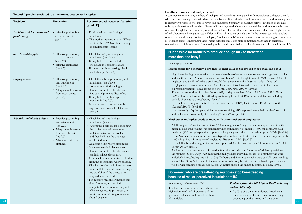| Potential problems related to attachment, breasts and nipples |                                                                                                                      |                                                                                                                                                                                                                                                                                                                                                                                                                                                                                                   | Insufficient milk - real and perceived                                                                                                                                                                                                                                                                                                                                                                                                                                                                                                                                                                                                                                                                                                                                                                                                                                                                                                                                                                                                                                                                                                                                                            |
|---------------------------------------------------------------|----------------------------------------------------------------------------------------------------------------------|---------------------------------------------------------------------------------------------------------------------------------------------------------------------------------------------------------------------------------------------------------------------------------------------------------------------------------------------------------------------------------------------------------------------------------------------------------------------------------------------------|---------------------------------------------------------------------------------------------------------------------------------------------------------------------------------------------------------------------------------------------------------------------------------------------------------------------------------------------------------------------------------------------------------------------------------------------------------------------------------------------------------------------------------------------------------------------------------------------------------------------------------------------------------------------------------------------------------------------------------------------------------------------------------------------------------------------------------------------------------------------------------------------------------------------------------------------------------------------------------------------------------------------------------------------------------------------------------------------------------------------------------------------------------------------------------------------------|
| Problem                                                       | Prevention                                                                                                           | Recommended treatment/solution<br>[grade E]                                                                                                                                                                                                                                                                                                                                                                                                                                                       | A common concern among mothers of multiples and sometimes among the health professionals caring for them is<br>whether there is enough milk to feed two or more babies. It is perfectly possible for a mother to produce enough milk<br>to exclusively breastfeed two, three or even four babies (see Summary of evidence below). Evidence of adequate<br>milk supply is also found in studies of breastmilk pumping in which mothers of multiples produce more milk than<br>mothers of singletons (see Summary of evidence below). The fact that some women can achieve such high volumes                                                                                                                                                                                                                                                                                                                                                                                                                                                                                                                                                                                                        |
| Problems with attachment/<br>positioning                      | • Effective positioning<br>and attachment<br>(see 2.2.3)                                                             | • Provide help on positioning &<br>attachment.<br>• The mother may want to try different<br>positions (see 2.2.3) or different ways<br>of simultaneous feeding.                                                                                                                                                                                                                                                                                                                                   | of milk, however, will not guarantee sufficient milk for all mothers of multiples. In the two surveys which studied<br>reasons for breastfeeding cessation in multiples, "insufficient milk" was a common reason for stopping (see Summary<br>of evidence below). Importantly, there was no evidence that it was more common in twins than in singletons,<br>suggesting that this is a common (perceived) problem in all breastfeeding mothers in settings such as the UK and US.                                                                                                                                                                                                                                                                                                                                                                                                                                                                                                                                                                                                                                                                                                                 |
| Sore breasts/nipples                                          | • Effective positioning<br>and attachment                                                                            | • Check babies' positioning and<br>attachment (see above).                                                                                                                                                                                                                                                                                                                                                                                                                                        | Is it possible for mothers to produce enough milk to breastfeed<br>more than one baby?                                                                                                                                                                                                                                                                                                                                                                                                                                                                                                                                                                                                                                                                                                                                                                                                                                                                                                                                                                                                                                                                                                            |
|                                                               | (see 2.2.3)<br>• Effective expressing                                                                                | • It may help to express a little to<br>encourage the babies to attach.                                                                                                                                                                                                                                                                                                                                                                                                                           | Summary of evidence                                                                                                                                                                                                                                                                                                                                                                                                                                                                                                                                                                                                                                                                                                                                                                                                                                                                                                                                                                                                                                                                                                                                                                               |
|                                                               | (see 2.5).                                                                                                           | • If the mother is expressing, check<br>her technique (see 2.5)                                                                                                                                                                                                                                                                                                                                                                                                                                   | It is possible for a mother to produce enough milk to breastfeed more than one baby:                                                                                                                                                                                                                                                                                                                                                                                                                                                                                                                                                                                                                                                                                                                                                                                                                                                                                                                                                                                                                                                                                                              |
| Engorgement                                                   | • Effective positioning<br>and attachment<br>(see 2.2.3)<br>• Adequate milk removal<br>from each breast<br>(see 2.5) | • Check the babies' positioning and<br>attachment (see above).<br>• Some women find placing warm<br>flannels on the breasts before a<br>feed can help relieve discomfort.<br>• It may help if mother expresses<br>excess milk (see 2.5).<br>• Mention that excess milk can be<br>expressed and frozen for later use<br>(see 2.5)                                                                                                                                                                  | • High breastfeeding rates in twins in settings where breastfeeding is the norm e.g. in a large demographic<br>and health survey in Malawi, Tanzania and Zambia (n=18,214 singletons and n=706 twins), 98.5% of<br>singletons and 98.5% of twins were breastfed for at least 6 months ( $\tilde{f}$ ustesen 2000). [level 2+]<br>• In a Japanese cross-sectional study, 3.6% of 258 sets of triplets/higher order multiples received<br>expressed breastmilk (EBM) for up to 6 months (Yokoyama 2004). [level 2-]<br>• There are case studies of triplets (Storr 1989) and quadruplets (Mead 1992, Auer 1998, Berlin<br>2007) all of which report breastfeeding continuing for at least 12 months in all babies, including<br>periods of exclusive breastfeeding. [level 3]<br>• In a qualitative study of 9 sets of triplets, 5 sets received EBM; 1 set received EBM for 6 months<br>(Leonard 2000). [level 3]<br>• In a case study of quintuplets, all babies were receiving EBM (approximately half mother's own milk<br>and half donor breast milk) at 7 months (Szucs 2009). [level 3]                                                                                                      |
| Mastitis and blocked ducts                                    | • Effective positioning<br>and attachment                                                                            | • Check babies' positioning &<br>attachment (see above).                                                                                                                                                                                                                                                                                                                                                                                                                                          | Mothers of multiples produce more milk than mothers of singletons:                                                                                                                                                                                                                                                                                                                                                                                                                                                                                                                                                                                                                                                                                                                                                                                                                                                                                                                                                                                                                                                                                                                                |
|                                                               | (see 2.2.3)<br>• Adequate milk removal<br>from each breast<br>(see 2.5)<br>• Advice on restrictive<br>clothing.      | • Alternative positions for positioning<br>the babies may help overcome<br>unilateral attachment problems<br>and thus facilitate the drainage<br>of affected lobes.<br>• Analgesia helps relieve discomfort.<br>• Some women find placing warm<br>flannels on the breasts before a feed<br>can help relieve discomfort.<br>• Continue frequent, unrestricted feeding<br>from the affected side where possible.<br>• Check expressing technique. Express<br>breastmilk by hand if breastfeeding is | • A US study of 125 mothers of preterm (<30 weeks' gestation) singletons and multiples found that the<br>mean 24 hour milk volume was significantly higher in mothers of multiples (599 ml) compared with<br>singletons (430 m/L) despite similar pumping frequency and other characteristics (Lau 2004). [level 2-]<br>• In an Australian study, mothers of twins typically produced at least 2100 ml/24 hours compared with<br>1100 ml/24 hours in mothers of singletons (Hartman 1984). [level 3]<br>• In the US, a breastfeeding mother of quads pumped 3.24 litres of milk per 24 hours while in NICU<br>( <i>Berlin 2005</i> ). [level 3]<br>• An Australian study estimated milk yield in 8 mothers of twins and 1 mother of triplets by weighing<br>the mothers (Saint 1986). At 6 months the milk yield for individual breasts of 3 mothers who were<br>exclusively breastfeeding was 0.84-2.16 kg/24 hours and for 4 mothers who were partially breastfeeding,<br>it was 0.42-1.39 kg/24 hours. In the mother who exclusively breastfed 2.5 month old triplets the milk<br>yield for her combined breasts was $3.08\text{kg}/24$ hours; she fed the babies 27 times/24 hours. [level 3] |
|                                                               | too painful or if the breast is not<br>emptied after the feed.                                                       |                                                                                                                                                                                                                                                                                                                                                                                                                                                                                                   | Do women who are breastfeeding multiples stop breastfeeding                                                                                                                                                                                                                                                                                                                                                                                                                                                                                                                                                                                                                                                                                                                                                                                                                                                                                                                                                                                                                                                                                                                                       |
|                                                               |                                                                                                                      | • For infective mastitis or mastitis that<br>doesn't resolve, an antibiotic<br>compatible with breastfeeding and<br>effective against Staph aureus (the<br>most common infecting organism)<br>should be given.                                                                                                                                                                                                                                                                                    | because of real or perceived insufficient milk?<br>Summary of evidence [level 2-]<br>Evidence from the 2005 Infant Feeding Survey<br>and the US study<br>The fact that some women can achieve such<br>high volumes of milk, however, will not<br>• 22-55% of women mentioned "insufficient<br>guarantee sufficient milk for all mothers<br>milk" as a reason for stopping breastfeeding<br>depending on the survey and time point.<br>of multiples.                                                                                                                                                                                                                                                                                                                                                                                                                                                                                                                                                                                                                                                                                                                                               |

#### **Insufficient milk - real and perceived**

## **Is it possible for mothers to produce enough milk to breastfeed more than one baby?**

#### **It is possible for a mother to produce enough milk to breastfeed more than one baby:**

- High breastfeeding rates in twins in settings where breastfeeding is the norm e.g. in a large demographic and health survey in Malawi, Tanzania and Zambia (n=18,214 singletons and n=706 twins), 98.5% of singletons and 98.5% of twins were breastfed for at least 6 months *(fustesen 2000)*. [level 2+]
- In a Japanese cross-sectional study, 3.6% of 258 sets of triplets/higher order multiples received expressed breastmilk (EBM) for up to 6 months *(Yokoyama 2004).* [level 2-]
- There are case studies of triplets *(Storr 1989)* and quadruplets *(Mead 1992, Auer 1998, Berlin 2007)* all of which report breastfeeding continuing for at least 12 months in all babies, including periods of exclusive breastfeeding. [level 3]
- In a qualitative study of 9 sets of triplets, 5 sets received EBM; 1 set received EBM for 6 months *(Leonard 2000).* [level 3]
- In a case study of quintuplets, all babies were receiving EBM (approximately half mother's own milk and half donor breast milk) at 7 months *(Szucs 2009).* [level 3]

#### **Mothers of multiples produce more milk than mothers of singletons:**

- A US study of 125 mothers of preterm (<30 weeks' gestation) singletons and multiples found that the mean 24 hour milk volume was significantly higher in mothers of multiples (599 ml) compared with singletons (430 m/L) despite similar pumping frequency and other characteristics *(Lau 2004)*. [level 2-]
- In an Australian study, mothers of twins typically produced at least 2100 ml/24 hours compared with 1100 ml/24 hours in mothers of singletons *(Hartman 1984).* [level 3]
- In the US, a breastfeeding mother of quads pumped 3.24 litres of milk per 24 hours while in NICU *(Berlin 2005)*. [level 3]
- An Australian study estimated milk yield in 8 mothers of twins and 1 mother of triplets by weighing the mothers *(Saint 1986).* At 6 months the milk yield for individual breasts of 3 mothers who were exclusively breastfeeding was 0.84-2.16 kg/24 hours and for 4 mothers who were partially breastfeeding, it was 0.42-1.39 kg/24 hours. In the mother who exclusively breastfed 2.5 month old triplets the milk yield for her combined breasts was 3.08kg/24 hours; she fed the babies 27 times/24 hours. [level 3]

## **Do women who are breastfeeding multiples stop breastfeeding because of real or perceived insufficient milk?**

#### *Evidence from the 2005 Infant Feeding Survey and the US study*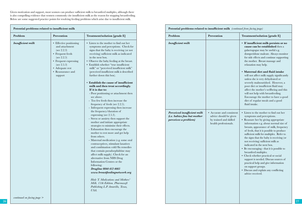Given motivation and support, most women can produce sufficient milk to breastfeed multiples, although there is also compelling evidence that women commonly cite insufficient milk as the reason for stopping breastfeeding. Below are some suggested practice points for resolving feeding problems which arise due to insufficient milk.

| Problem<br>Prevention<br>Treatment/solution [grade E]<br>• Listen to the mother to find out her<br><b>Insufficient milk</b><br>• Effective positioning<br>and attachment<br>symptoms and perceptions. Check for<br>(see 2.2.3)<br>signs that the baby is receiving (or not<br>• Frequent feeds<br>receiving) sufficient milk as indicated<br>(see 2.2.5)<br>in the next box.<br>• Frequent expressing<br>• Observe the baby feeding at the breast.<br>(see 2.5.3)<br>• Establish whether "true insufficient"<br>milk" or "perceived insufficient milk"<br>• Adequate rest<br>• Reassurance and<br>(perceived insufficient milk is described<br>further down this box).<br>support<br>• Establish the cause of insufficient<br>milk and then treat accordingly.<br>If it is due to:<br>- Poor positioning or attachment then<br>see above.<br>- Too few feeds then increase the<br>frequency of feeds (see $2.2.5$ ).<br>- Infrequent expressing then increase<br>the frequency/duration of<br>expressing (see $2.5.3$ ).<br>- Stress or anxiety then support the<br>mother and initiate appropriate<br>strategies to minimise their effects.<br>- Exhaustion then encourage the<br>mother to rest more and get help<br>from others.<br>- Maternal medication (e.g. some oral<br>contraceptives, stimulant laxatives<br>and combination cold/flu remedies<br>that contain pseudoephidrine may<br>affect milk supply). Check for an<br>alternative from NHS Drug<br>Information Centres or the<br>following:<br><b>Drugline 0844 412 4665</b><br>www.breastfeedingnetwork.org<br>Hale T. Medications and Mothers'<br>Milk. 11th Edition. Pharmasoft<br>Publishing L.P. Amarillo, Texas,<br>USA. | Potential problems related to insufficient milk |  |  |  |
|-----------------------------------------------------------------------------------------------------------------------------------------------------------------------------------------------------------------------------------------------------------------------------------------------------------------------------------------------------------------------------------------------------------------------------------------------------------------------------------------------------------------------------------------------------------------------------------------------------------------------------------------------------------------------------------------------------------------------------------------------------------------------------------------------------------------------------------------------------------------------------------------------------------------------------------------------------------------------------------------------------------------------------------------------------------------------------------------------------------------------------------------------------------------------------------------------------------------------------------------------------------------------------------------------------------------------------------------------------------------------------------------------------------------------------------------------------------------------------------------------------------------------------------------------------------------------------------------------------------------------------------------------------------------------------------------------|-------------------------------------------------|--|--|--|
|                                                                                                                                                                                                                                                                                                                                                                                                                                                                                                                                                                                                                                                                                                                                                                                                                                                                                                                                                                                                                                                                                                                                                                                                                                                                                                                                                                                                                                                                                                                                                                                                                                                                                               |                                                 |  |  |  |
|                                                                                                                                                                                                                                                                                                                                                                                                                                                                                                                                                                                                                                                                                                                                                                                                                                                                                                                                                                                                                                                                                                                                                                                                                                                                                                                                                                                                                                                                                                                                                                                                                                                                                               | continued on facing page                        |  |  |  |

| Problem                  | Prevention<br>Treatment/solution [grade E]                                                                                                                                                                                                                                                                                                                                                                                                                                                                                                                                                                                                                                                                                                                                                                                                                                                                                                                                                                                                                                                                                                                                                                                                                                                                                                                                                                                                                                                                                                                                               | Problem                                                                                                         | Prevention                                                                                             | Treatment/solution [grade E]                                                                                                                                                                                                                                                                                                                                                                                                                                                                                                                                                                                                                                                                                                                                                                                                                                                                                                                                                                                                                                                                                                                                                                                                                                                                                                 |  |
|--------------------------|------------------------------------------------------------------------------------------------------------------------------------------------------------------------------------------------------------------------------------------------------------------------------------------------------------------------------------------------------------------------------------------------------------------------------------------------------------------------------------------------------------------------------------------------------------------------------------------------------------------------------------------------------------------------------------------------------------------------------------------------------------------------------------------------------------------------------------------------------------------------------------------------------------------------------------------------------------------------------------------------------------------------------------------------------------------------------------------------------------------------------------------------------------------------------------------------------------------------------------------------------------------------------------------------------------------------------------------------------------------------------------------------------------------------------------------------------------------------------------------------------------------------------------------------------------------------------------------|-----------------------------------------------------------------------------------------------------------------|--------------------------------------------------------------------------------------------------------|------------------------------------------------------------------------------------------------------------------------------------------------------------------------------------------------------------------------------------------------------------------------------------------------------------------------------------------------------------------------------------------------------------------------------------------------------------------------------------------------------------------------------------------------------------------------------------------------------------------------------------------------------------------------------------------------------------------------------------------------------------------------------------------------------------------------------------------------------------------------------------------------------------------------------------------------------------------------------------------------------------------------------------------------------------------------------------------------------------------------------------------------------------------------------------------------------------------------------------------------------------------------------------------------------------------------------|--|
| <b>Insufficient milk</b> | • Effective positioning<br>• Listen to the mother to find out her<br>and attachment<br>symptoms and perceptions. Check for<br>(see 2.2.3)<br>signs that the baby is receiving (or not<br>receiving) sufficient milk as indicated<br>• Frequent feeds<br>(see 2.2.5)<br>in the next box.<br>• Frequent expressing<br>• Observe the baby feeding at the breast.<br>(see 2.5.3)<br>• Establish whether "true insufficient<br>• Adequate rest<br>milk" or "perceived insufficient milk"<br>• Reassurance and<br>(perceived insufficient milk is described<br>further down this box).<br>support<br>Establish the cause of insufficient<br>milk and then treat accordingly.<br>If it is due to:<br>- Poor positioning or attachment then<br>see above.<br>- Too few feeds then increase the<br>frequency of feeds (see 2.2.5).<br>- Infrequent expressing then increase<br>the frequency/duration of<br>expressing (see 2.5.3).<br>- Stress or anxiety then support the<br>mother and initiate appropriate<br>strategies to minimise their effects.<br>- Exhaustion then encourage the<br>mother to rest more and get help<br>from others.<br>- Maternal medication (e.g. some oral<br>contraceptives, stimulant laxatives<br>and combination cold/flu remedies<br>that contain pseudoephidrine may<br>affect milk supply). Check for an<br>alternative from NHS Drug<br>Information Centres or the<br>following:<br>Drugline 0844 412 4665<br>www.breastfeedingnetwork.org<br>Hale T. Medications and Mothers'<br>Milk. 11th Edition. Pharmasoft<br>Publishing L.P. Amarillo, Texas,<br>USA. | Insufficient milk<br>Perceived insufficient milk<br><i>(i.e. babies fine but mother</i><br>perceives a problem) | • Accurate and consistent<br>advice should be given<br>by trained and skilled<br>health professionals. | · If insufficient milk persists or no<br>cause can be established then a<br>galactogogue may be useful e.g.<br>domperidone maleate. Always monitor<br>for side effects and continue supporting<br>the mother. Breast massage and<br>relaxation may help.<br>• Maternal diet and fluid intake<br>will not affect milk supply significantly<br>unless she is very dehydrated or<br>severely malnourished. However, a<br>poor diet or insufficient fluid may<br>affect the mother's wellbeing and this<br>will not help with breastfeeding.<br>Encourage the mother to have a good<br>diet of regular meals and a good<br>fluid intake.<br>• Listen to the mother to find out her<br>symptoms and perceptions.<br>• Reassure her by giving appropriate<br>information e.g. about normal size of<br>breasts, appearance of milk, frequency<br>of feeds, that it is possible to produce<br>sufficient milk for multiples. Refer to<br>the signs that the baby is receiving (or<br>not receiving) sufficient milk as<br>indicated in the next box.<br>• Be encouraging - that it is possible to<br>breastfeed multiples.<br>• Check whether practical or social<br>support is needed. Discuss sources of<br>practical help and give information<br>on support groups.<br>• Discuss and explain any conflicting<br>advice received. |  |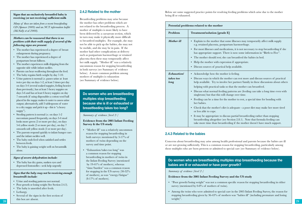#### **Signs that an exclusively breastfed baby is receiving (or not receiving) sufficient milk**

*Many of these are taken from a recent breastfeeding CD (Spencer 2009) and an NCT information leaflet (McNally et al 2008).*

#### *Mothers can be reassured that there is no problem with their milk supply if several of the following signs are present:*

- The mother has experienced a degree of breast enlargement during pregnancy.
- The mother has experienced a degree of postpartum breast fullness.
- The mother experiences milk dripping from the opposite side while infant suckles.
- Parents can hear swallowing throughout the feed.
- The baby regains birth weight by day 7-10.
- Urine pattern is normal i.e. passes urine at least twice per day on days 1-2, at least 3 times per day on days 3-4 (several soaked nappies, feeling heavier than previously), has at least 5 heavy nappies on days 5-6 and has at least 6 heavy nappies on day 7 onwards (if using disposables a cotton wool ball placed in the nappy makes it easier to assess urine output; alternatively, add 3 tablespoons of water to a dry nappy and pick it up - this is "a heavy nappy").
- Stooling pattern is normal i.e. on days 1-2 meconium passed frequently, on days 3-4 stool looks more green (2 or more per day), on days 5-6 yellow stools (2 or more per day), on day 7 onwards soft yellow stools (2 or more per day).
- The parents respond quickly to infant hunger cues and the infant suckles well.
- The baby ends feed when satisfied and settles between feeds.
- The baby is gaining weight well on breastmilk alone.

#### *Signs of severe dehydration include:*

• The baby has dry gums, sunken eyes and depressed fontonelles - seek help urgently

#### *Signs that the baby may not be receiving enough breastmilk include:*

- Urine and stooling patterns not normal.
- Poor growth or losing weight (See Section 2.4.3).
- The baby is unsettled after feeds.
- Lethargy.
- Several of the signs in the first section of this box are absent.

### **2.4.2 Related to the mother**

Breastfeeding problems may arise because the mother has other problems which are not related to the breastfeeding process. A mother of multiples is more likely to have been delivered by a caesarean section, which in turn may make it physically more difficult to breastfeed multiples. For example, she may not be able to pick up the babies, she may not be mobile, and she may be in pain. If the mother had other complications at delivery such as postpartum haemorrhage or retained placenta then these may temporarily affect her milk supply. "Mother ill" was a relatively uncommon reason for stopping breastfeeding in both surveys (see Summary of evidence below). A more common problem among mothers of multiples is exhaustion (see Summary of evidence below).

**Do women who are breastfeeding multiples stop breastfeeding because she is ill or exhausted or breastfeeding takes too long?** 

#### *Summary of evidence [level 2-]*

**Evidence from the 2005 Infant Feeding Survey & the US study**

- "Mother ill" was a relatively uncommon reason for stopping breastfeeding in both surveys: mentioned by 3-17% of mothers of twins depending on the survey and time point.
- "Exhaustion/takes too long" was a common reason for stopping breastfeeding in mothers of twins in the Infant Feeding Survey (mentioned by 19-41% of mothers), whereas "time/burden" was a common reason for stopping in the US survey (30-32% of mothers), as was "energy/fatigue" (8-17% of mothers).

Below are some suggested practice points for resolving feeding problems which arise due to the mother being ill or exhausted.

| Potential problems related to the mother |                                                                                                                                                                                                                                                       |  |  |  |
|------------------------------------------|-------------------------------------------------------------------------------------------------------------------------------------------------------------------------------------------------------------------------------------------------------|--|--|--|
| Problem                                  | Treatment/solution [grade E]                                                                                                                                                                                                                          |  |  |  |
| Mother ill                               | Explain to the mother that some illnesses may temporarily affect milk supply<br>$\bullet$<br>e.g. retained placenta, postpartum haemorrhage.                                                                                                          |  |  |  |
|                                          | • For most illnesses and medications, it is not necessary to stop breastfeeding if she<br>has appropriate support. There is now some information in "Birth to Five".                                                                                  |  |  |  |
|                                          | • The mother should rest; she can breastfeed the babies in bed.                                                                                                                                                                                       |  |  |  |
|                                          | Help the mother with expression if appropriate.<br>$\bullet$                                                                                                                                                                                          |  |  |  |
|                                          | Discuss sources of practical help available.<br>٠                                                                                                                                                                                                     |  |  |  |
| <b>Exhaustion</b>                        | • Acknowledge how the mother is feeling.                                                                                                                                                                                                              |  |  |  |
| takes too<br>long                        | Discuss ways in which the mother can rest more and discuss sources of practical<br>٠<br>help available. Try to involve her partner/family in these discussions about others                                                                           |  |  |  |
|                                          | helping with practical tasks so that the mother can breastfeed.                                                                                                                                                                                       |  |  |  |
|                                          | • Discuss what normal feeding patterns are (feeding can take a long time even with<br>singletons) but that this will change over time.                                                                                                                |  |  |  |
|                                          | • Feeding can be a time for the mother to rest, a special time for bonding with<br>her babies.                                                                                                                                                        |  |  |  |
|                                          | • Check that the mother's diet is adequate - a poor diet may make her more tired<br>or less able to cope.                                                                                                                                             |  |  |  |
|                                          | It may be appropriate to discuss partial breastfeeding rather than stopping<br>$\bullet$<br>breastfeeding altogether (see Section 2.8.1). Note that formula feeding can<br>take more time than breastfeeding if the mother doesn't have much support. |  |  |  |

## **2.4.3 Related to the babies**

Concerns about breastfeeding may arise among health professional and parents because the babies are ill or are not growing sufficiently. This is a common reason for stopping breastfeeding, particularly among those multiples who are born preterm or admitted to special care (see Summary of evidence below).

## **Do women who are breastfeeding multiples stop breastfeeding because the babies are ill or exhausted or have poor growth?**

*Summary of evidence [level 2-]*

#### **Evidence from the 2005 Infant Feeding Survey and the US study**

- "Poor growth/losing weight" was not a common specific reason for stopping breastfeeding in either survey (mentioned by 0-8% of mothers of twins).
- **28 29** • Among the twins who were admitted to special care in the 2005 Infant Feeding Survey, the reason for stopping breastfeeding given by 36-43% of mothers was "babies ill" (including premature and losing weight)".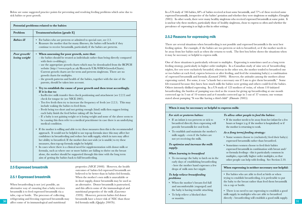Below are some suggested practice points for preventing and resolving feeding problems which arise due to sick babies or poor growth.

| Potential problems related to the babies |                                                                                                                                                                                                                                                                                                                                                                                                                                                                                                                                                                                                                                                                                                                                                                                                                                                                                                                                                                                                                                                                                                                                                                                                                                                                                                                                                                                                                                                                                                                                                                                                                                                                                                                                                                                                                                                                                                                                                                                                        |  |  |  |  |
|------------------------------------------|--------------------------------------------------------------------------------------------------------------------------------------------------------------------------------------------------------------------------------------------------------------------------------------------------------------------------------------------------------------------------------------------------------------------------------------------------------------------------------------------------------------------------------------------------------------------------------------------------------------------------------------------------------------------------------------------------------------------------------------------------------------------------------------------------------------------------------------------------------------------------------------------------------------------------------------------------------------------------------------------------------------------------------------------------------------------------------------------------------------------------------------------------------------------------------------------------------------------------------------------------------------------------------------------------------------------------------------------------------------------------------------------------------------------------------------------------------------------------------------------------------------------------------------------------------------------------------------------------------------------------------------------------------------------------------------------------------------------------------------------------------------------------------------------------------------------------------------------------------------------------------------------------------------------------------------------------------------------------------------------------------|--|--|--|--|
| Problem                                  | Treatment/solution [grade E]                                                                                                                                                                                                                                                                                                                                                                                                                                                                                                                                                                                                                                                                                                                                                                                                                                                                                                                                                                                                                                                                                                                                                                                                                                                                                                                                                                                                                                                                                                                                                                                                                                                                                                                                                                                                                                                                                                                                                                           |  |  |  |  |
| <b>Babies</b> ill                        | For babies who are preterm or admitted to special care, see 2.3.<br>Reassure the mother that for many illnesses, the babies will benefit if they<br>continue to receive breastmilk, particularly if the babies are preterm.                                                                                                                                                                                                                                                                                                                                                                                                                                                                                                                                                                                                                                                                                                                                                                                                                                                                                                                                                                                                                                                                                                                                                                                                                                                                                                                                                                                                                                                                                                                                                                                                                                                                                                                                                                            |  |  |  |  |
| Poor growth/<br>losing weight            | When assessing for poor growth, note that:<br>$\bullet$<br>- the babies should be treated as individuals rather than being directly compared<br>with their co-sibling(s).<br>- use the appropriate growth charts which may be downloaded from the RCPCH<br>website (http://www.rcpch.ac.uk/Research/UK-WHO-Growth-Charts).<br>Current growth charts are for term and preterm singletons. There are no<br>growth charts for multiples.<br>- the growth patterns and health of the babies, together with the size of the<br>parents, should be taken into account.<br>• Try to establish the cause of poor growth and then treat accordingly.<br>If it is due to:<br>- Ineffective milk transfer then check positioning and attachment (see 2.2.3) and<br>check for tongue tie (see NICE 2005).<br>- Too few feeds then try to increase the frequency of feeds (see 2.2.5). This may<br>include waking the babies to feed them.<br>- Feeds being too short and not getting enough (hind) milk then suggest letting<br>each baby finish the feed before taking off the breast<br>- If a baby is not gaining weight or is losing weight and none of the above seem to<br>be causing this then refer to a medical practitioner in case there is an underlying<br>medical condition.<br>• If the mother is willing and able to try these measures then this is the recommended<br>approach. It would not be helpful to use top-up formula since this may affect her<br>confidence in breastfeeding and reduce her milk supply, which in turn may affect<br>her ability to breastfeed. If the mother does not wish (or is unable) to try these<br>measures, then top-up formula might be helpful.<br>• In cases where there is a clinical need for supplementation with donor milk or<br>formula, such as where one or more babies are failing to thrive on the breast<br>alone, the mother should be supported through this time with the long term<br>aim of getting the babies back to full breastfeeding. |  |  |  |  |

### **2.5 Expressed breastmilk**

#### **2.5.1 Expressed breastmilk**

**30 affect** some of its immunological and nutritional fed formula milk (Quigley 2007b). When breastfeeding is not (yet) possible, an alternative way of ensuring that a baby receives breastmilk is to feed expressed breastmilk via a tube, cup or bottle. The processes of collecting, refrigerating and freezing expressed breastmilk may

properties *(NICE 2008).* However, the health outcomes of babies fed expressed breastmilk are believed to be better than in babies fed formula. When the mother's own milk is unavailable or in short supply, donor breastmilk may be used as an alternative. Donor breastmilk is pasteurised, and this affects some of the immunological and nutritional properties of the milk *(Lawrence 1999).* However, preterm babies fed donor breastmilk have a lower risk of NEC than those fed formula milk *(Quigley 2007b).* 

In a US study of 346 babies, 68% of babies received at least some breastmilk, and 77% of these received some expressed breastmilk, irrespective of the babies' gestation and whether they were singletons or multiples *(Geraghty 2005*). In other words, there were many healthy singletons who received expressed breastmilk at some point. It is unclear why these mothers, particularly those of healthy singletons, chose to express so often and whether the prevalence of expressing is as high as this in other settings.

## **2.5.2 Reasons for expressing milk**

There are several situations when breastfeeding is not possible and expressed breastmilk is the next best feeding option. For example, if the babies are too preterm or sick to breastfeed, or if the mother needs to be away from her babies such as when she returns to work. The first box below shows the situations when it may be necessary or helpful to express milk.

One of these situations is particularly relevant to multiples. Expressing is sometimes used as a long term feeding strategy, particularly in higher order multiples. In a Canadian study of nine sets of breastfeeding triplets, five sets were exclusively breastfed, whereas in the other sets, the mother tended to breastfeed one or two babies at each feed, express between or after feeding, and feed the remaining baby(s) a combination of expressed breastmilk and formula *(Leonard 2000).* However, the attitudes among the mothers about expressing varied. For some, it was "a hassle but a necessary one if I am to give them breastmilk." Some felt reassured because they knew how much milk the babies were getting and others could feed the babies. Others intensely disliked expressing. In a US study of 123 mothers of twins, of whom 110 initiated breastfeeding, the burden of pumping was cited as the reason for giving up breastfeeding at one month corrected age in 3 out of 10 women and at 6 months corrected age in 5 out of 37 women; one woman stated about pumping "It was like having a third child" *(Damato 2005).* 

#### **When it may be necessary or helpful to express milk:**

#### *For sick or preterm babies:*

#### *To allow other people to feed the babies:*

- If an infant is too preterm or sick to breastfeed directly then expressing will provide breastmilk for oral feeds.
- To establish and maintain the mother's milk supply - even if the babies are not yet receiving the milk.

#### *To optimise and increase the milk supply.*

#### *When learning to breastfeed*

• To encourage the baby to latch on in the early days of establishing breastfeeding - here the mother hand expresses a few drops of milk onto her nipple.

#### *To help relieve breastfeeding problems*

- When the mother's breasts feel full and uncomfortable (engorged) and the baby is having trouble attaching.
- To help relieve a blocked duct or mastitis.

• If the mother needs to be away from her infant for a few hours or longer (e.g. if the mother is hospitalised) or if the mother is returning to work.

#### *As a (long term) feeding strategy:*

- Some women choose to (exclusively) feed their baby(s) expressed breastmilk rather than breastfeed.
- Sometimes women choose to feed their babies expressed breastmilk in combination with breast and/ or formula feedings - this is particularly common in multiples, especially higher order multiples, so that other people can help with feeding. See Section 2.10.

#### **When expressing is neither necessary nor helpful:**

- For babies who are able to feed at birth or when trying to establish breastfeeding, it is preferable to put the baby to the breast rather than feed them breastmilk via a cup or bottle.
- There is no need to use expressing to establish a good milk supply in multiples who are able to breastfeed directly - breastfeeding will establish a good milk supply.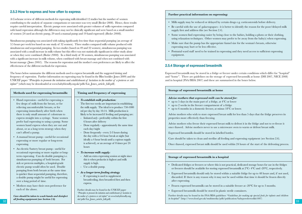#### **2.5.3 How to express and how often to express**

A Cochrane review of different methods for expressing milk identified 12 studies but the number of women contributing to the analysis of separate comparisons or outcomes was very small (Becker 2008). Hence, these results require careful interpretation. Electric pumps were associated with greater volumes of milk expression compared with hand expression although the differences may not be clinically significant and were based on a small number of women (24 used an electric pump, 29 used a manual pump and 19 hand expressed) *(Becker 2008).*

Simultaneous pumping was associated with taking significantly less time than sequential pumping (an average of 3.5 hours per week less based on one study of 32 women). Three studies compared milk volume produced with simultaneous and sequential pumping. In two studies (based on 49 and 32 women), simultaneous pumping was associated with a small increase in milk volume but this effect was not statistically significant in either study alone or when they were combined *(Becker 2008).* In a third study of 36 women, simultaneous pumping was associated with a significant increase in milk volume, when combined with breast massage and when not combined with breast massage *(Jones 2001).* The reasons for expression and the mother's own preferences are likely to affect the effectiveness of the different methods for expression.

The boxes below summarise the different methods used to express breastmilk and the suggested timing and frequency of expression. Further information on expressing may be found in the Bliss booklet (Jones 2009) and the UNICEF paper *"Principles to promote the initiation and establishment of lactation in the mother of a preterm or sick infant"* (which may be downloaded at www.babyfriendly.org.uk/pdfs/Liz\_Jones\_article\_full.pdf).

#### **Methods used for expressing breastmilk:**

- Hand expression useful for expressing a few drops of milk from the breast, or for relieving uncomfortable breasts, or for expressing immediately after birth when there is only small amount of colostrum to express straight into a syringe. Some women prefer had expressing to using a pump. Some women hand express when they are out and about, or as a long term strategy when they can't afford a pump.
- A manual breast pump useful for occasional expressing or more regular or long-term expressing.
- An electric/battery breast pump useful for occasional expressing or more regular or longterm expressing. Can do double pumping i.e. simultaneous pumping of both breasts. For sick or preterm multiples, a hospital-grade electric pump would often be used. Double pumping from both breasts at the same time is quicker than sequential pumping, therefore, a double pump might be useful for expressing over a long period of time.
- Mothers may have their own preference for each of the above.

*Care should be taken to wash hands and disinfect all feeding equipment (see Section 2.6).*

#### **Timing and frequency of expressing**

- *To establish milk production:*  The first two weeks are important in establishing the milk supply. The ideal is to produce 750-1000 ml per day by day 10-14. Milk production is likely to be increased if feeding and pumping are:
	- Initiated *early* preferably within the first 6 hours after delivery
	- Done regularly approximately the same time each day/night
- Done frequently every 2-3 hours during the day with a 4-6 hour break at night (but ideally a 4 hour break until a copious supply is achieved), or an average of 8 times per 24 hours
- *To increase milk supply:*
- Add an extra expressing session at night since this is when prolactin is highest and milk supply is high.
- Use a double pump.
- *As a longer term feeding strategy*
- If expressing is used to supplement breastfeeding, then breastfeed first and then express.

**32 33** Further details may be found in the UNICEF paper *"Principles to promote the initiation and establishment of lactation in the mother of a preterm or sick infant"* at www.babyfriendly.org. uk/pdfs/Liz\_Jones\_article\_full.pdf).

#### **Further practical information on expressing:**

- Milk supply may be reduced or delayed by certain drugs e.g. corticosteroids before delivery.
- Be careful with the use of galactogogues it is better to identify the reason for the poor/delayed milk supply first and address this (see Section 2.4).
- Some women find expressing easier by being close to the babies, holding a photo or their clothing, using relaxation techniques. Other women may prefer to be away from the baby(s) when expressing.
- Make sure that the pump has the appropriate funnel size for the woman's breasts, otherwise expressing may hurt or be less effective.
- Postnatal ward staff need to be trained in expressing and they need access to sufficient expressing equipment.

## **2.5.4 Storage of expressed breastmilk**

Expressed breastmilk may be stored in a fridge or freezer under certain conditions which differ for "hospital" and "home". There are guidelines on the storage of expressed breastmilk at home (DH 2007, NICE 2008) and in hospital (FSA/BDA 2007) and these are summarised in the boxes below.

#### **Storage of expressed breastmilk at home**

#### *Advise mothers that expressed milk can be stored for:*

- up to 5 days in the main part of a fridge, at 4ºC or lower
- up to 2 weeks in the freezer compartment of a fridge
- up to 6 months in a domestic freezer, at minus 18ºC or lower.

Advise mothers who wish to store expressed breast milk for less than 5 days that the fridge preserves its properties more effectively than freezing.

Advise mothers who freeze their expressed breast milk to defrost it in the fridge and not to re-freeze it once thawed. Advise mothers never to use a microwave oven to warm or defrost breast milk.

Expressed breastmilk should be stored in labelled bottles.

Care should be taken to clean and sterilise all feeding and expressing equipment (see Section 2.6).

Once thawed, expressed breast milk should be used within 24 hours of the start of the defrosting process.

#### **Storage of expressed breastmilk in a hospital**

- Dedicated fridges or freezers or where this is not practical, dedicated storage boxes for use in the fridges or freezers should be available for storing expressed breastmilk at 2°C- 4°C and -20°C, respectively.
- Expressed breastmilk should only be stored within a suitable fridge for up to 48 hours and, if not used, discarded. If there is any reason why it may not be used within that time it should be frozen directly after expressing.
- Frozen expressed breastmilk can be stored in a suitable freezer at -20°C for up to 3 months.
- Expressed breastmilk should be stored in plastic sterile containers.

Further details may be found in the FSA/BDA guidelines *"Guidelines for making up special feeds for infants and children in hospital"* (http://www.food.gov.uk/multimedia/pdfs/publication/babypowdertoolkit1007)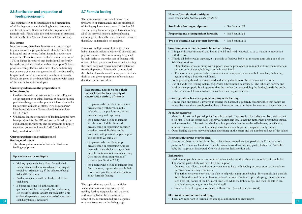## **2.6 Sterilisation and preparation of feeding equipment**

This section refers to the sterilisation and preparation of all feeding equipment, including bottles, teats, cups, and breast pumps. It also includes the preparation of formula milk. Please refer also to the sections on expressed breastmilk (Section 2.5) and formula milk (Section 2.7).

#### **Key issues**

In recent years, there have been some major changes to guidance on the preparation of infant formula both in hospital and at home. Infant formula powders are not sterile. Therefore, water boiled at a temperature of 70ºC or higher is required and feeds should preferably be made just prior to feeding rather than up to 24 hours prior to feeding. Parents who have older children may not be aware of these changes so should be educated by hospital staff and/or community health professionals. Details are given in the boxes below together with some of the special issues for multiples.

#### **Current guidance on the preparation of infant formula**

- Guidance from the Department of Health for England on the preparation of infant formulas at home for health professionals together with a practical information leaflet for parents is available at: http://www.dh.gov.uk/en/ Healthcare/Maternity/Maternalandinfantnutrition/ DH\_4123674
- Guidelines for the preparation of feeds in hospital have been produced for the UK and are published by the Food Standards Authority and are available at: http:// www.food.gov.uk/multimedia/pdfs/publication/ babypowdertoolkit1007

#### **Current guidance on sterilisation of feeding equipment**

• The above guidance also includes sterilisation of feeding equipment.

#### **Special issues for multiples**

- Making up formula feeds "fresh for each feed" rather than several hours in advance may require careful co-ordination e.g. if the babies are being fed at different times.
- Bottles, cups, etc, should be clearly labelled for each baby.
- If babies are being fed at the same time (particularly triplets and quads), the bottles, cups, etc, should be clearly labelled for each baby. This enables the parents to keep a record of how much each baby takes, if necessary.

## **2.7 Formula feeding**

This section refers to formula feeding. The preparation of formula milk and the disinfection of feeding equipment are covered in Section 2.6. For combining breastfeeding and formula feeding, all of the previous sections on breastfeeding, expressing, etc, should be read. It should be noted that follow-on formula is not required.

Parents of multiples may elect to feed their babies formula milk for a variety of personal and physical reasons. The decision may be guided by their desire to share the task of feeding with others. If both parents are involved with feeding then each baby will receive undivided attention from both parents. Parents who want to feed their babies formula should be supported in their decision and given appropriate information, as described in the box below.

#### **Parents may decide to feed their babies formula for a variety of reasons, at a variety of times:**

- For parents who decide to supplement breastfeeding with formula milk, refer also to the previous sections on breastfeeding and expressing.
- For parents who decide to formula feed because of difficulties with breastfeeding or expressing, consider whether these difficulties can be overcome with practical help or support (see Sections 2.4 and 2.5).
- For parents who decide to stop breastfeeding or expressing, support them with their choice and give them full information about formula feeding. Give advice about suppression of lactation (see Section 2.8.1).
- For parents who decide to formula feed from the start, support them with their choice and give them full information about formula feeding.

The topics that are specific to multiples include simultaneous versus separate feeding, feeding frequencies and patterns, and rotating babies between feeders. Some of the recommended practice points on these issues are on the facing page. **34 35**

## **How to formula feed multiples**  *some recommended practice points [grade E]* **Sterilising feeding equipment** • See Section 2.6 **Preparing and storing infant formula** • See Section 2.6 **Type of formula e.g. preterm formula** • See Section 2.11

#### **Simultaneous versus separate formula feeding:**

- It is generally recommended that babies are fed and held separately so as to maximise interaction with the carer.
- If both (all) babies wake together, it is possible to feed two babies at the same time using one of the following positions:
- Older babies, who can sit up with support, may be positioned in an infant seat and the mother can sit near both of them, holding a bottle in each hand.
- The mother can put one baby in an infant seat or support pillow and hold one baby in her lap, again holding a bottle in each hand.
- Bottle propping should be discouraged and a baby should never be left alone with a bottle.
- Use of hands-free feeding systems (e.g. Podee tubes) should be avoided. The tubes are narrow and hard to clean properly. It is important that the mother (or person doing the feeding) holds the bottle. If the babies are left alone to feed themselves then they could choke.

#### **Rotating babies between people helping with feeding:**

• If more than one person is involved in feeding the babies, it is generally recommended that babies are rotated between these people, so that there is interaction and stimulation between each baby-adult pair.

#### **Feeding patterns:**

- Many mothers of multiples adopt the "modified baby-led" approach. Here, whichever baby wakens first, is fed first. Then the second baby is gently awakened and fed, so that the mother has a reasonable interval until the next feed. The main drawback to this approach is that the awakened baby may be difficult to arouse and may not feed so well, although most babies usually get into this pattern fairly quickly.
- Other feeding patterns may work better, depending on the carers and the number and age of the babies.

#### **Poor growth versus overfeeding:**

• Parents may have anxieties about the babies gaining enough weight, particularly if they are born preterm. On the other hand, care must be taken to avoid overfeeding, particularly if the "modified baby-led" approach is adopted. Growth charts can help monitor this.

#### **Exhaustion:**

- Feeding multiples is a time-consuming experience whether the babies are breastfed or formula fed. The mother particularly will need help and support:
- One way is to allow the father (or anyone else) to help with feeding or preparation of formula or sterilisation of feeding equipment.
- The father (or anyone else) may be able to help with night time feeding. For example, it is possible for both mother and father to have occasional periods of uninterrupted sleep e.g. the mother can feed both (all) babies at the first night time feed while the father sleeps, and then the father can handle the second night time feed by himself.
- Seek the help of organisations such as Home Start (www.home-start.co.uk).

#### **Skin to skin contact and cuddling:**

• These are important in formula-fed multiples and should be encouraged.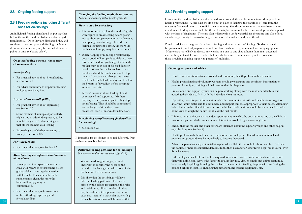## **2.8 Ongoing feeding support**

### **2.8.1 Feeding options including different ones for co-siblings**

An individual feeding plan should be put together before the mother and her babies are discharged from hospital. Once they are discharged, they will continue to need support with feeding. Different decisions about feeding may be needed at different points in time (see boxes below).

#### **Ongoing feeding options - these may change over time:**

#### *Breastfeeding :*

- For practical advice about breastfeeding, see Section 2.2.
- For advice about how to stop breastfeeding multiples, see facing box.

#### *Expressed breastmilk (EBM):*

- For practical advice about expressing, see Section 2.5.
- Some mothers of multiples (particularly triplets and quads) find expressing to be a useful long term feeding strategy so that others can help with feeding.
- Expressing is useful when returning to work (see Section 2.8.5).

#### *Formula feeding:*

• For practical advice, see Section 2.7.

#### *Mixed feeding i.e. different combinations of the above:*

- It is important to explore the mother's goals with regard to breastfeeding before giving advice about supplementation with formula. The earlier a formula supplement is given, the more the breastmilk supply may be compromised.
- For practical advice, refer to sections on breastfeeding, expressing and formula feeding.

#### **Changing the feeding methods or practice** *Some recommended practice points [grade E]*

#### *How to stop breastfeeding*

- It is important to explore the mother's goals with regard to breastfeeding before giving advice about supplementation with formula, or stopping breastfeeding. The earlier a formula supplement is given, the more the mother's milk supply may be compromised.
- When stopping or reducing breastfeeding, once a good milk supply is established, then this should be done gradually, otherwise the mother may be at risk of blocked ducts or mastitis. When the babies are less than six months old and the mother wishes to stop, the usual practice is to change one breast feed for a formula feed per day and to allow the breasts to fully adjust before dropping another breastfeed.
- Parents' decisions about feeding should be respected and supported. Mothers may experience personal guilt if they stop breastfeeding. They should be commended for the length of time they chose to breastfeed, even if this was for a few days.

### *Introducing complimentary foods/solids (i.e. weaning)*

• See Section 2.9

It is possible for co-siblings to be fed differently from each other (see box below).

#### **Different feeding patterns for co-siblings** *Some recommended practice points [grade E]*

- When considering feeding options, it is important to consider the needs of the individual babies together with those of the mother and her circumstances.
- **36 37** • It is likely that the co-siblings will have different feeding patterns. This may be driven by the babies, for example, their size and weight may differ considerably, they may have different temperaments, or one baby may "refuse" a particular pattern (e.g. to take breast/formula milk from a bottle).

## **2.8.2 Providing ongoing support**

Once a mother and her babies are discharged from hospital, they will continue to need support from health professionals. A care plan should be put in place to facilitate the transition of care from the maternity/neonatal units to the staff in the community. Good communication and consistent advice about infant feeding are essential. Mothers of multiples are more likely to become depressed compared with mothers of singletons. The care plan will provide a useful yardstick for the future and also offer a valuable opportunity to discuss feeding, expectations of childcare and parenthood.

Practical advice can be given about breastfeeding and other aspects of feeding. Guidance can also be given about practical preparations and purchases such as refrigeration and sterilising equipment. Mothers are more likely to discuss any worries in a one-to-one chat at home than in an antenatal class or busy antenatal clinic. The box below includes some recommended practice points for those providing ongoing support to parents of multiples.

#### **Ongoing support and advice**

- Good communication between hospital and community health professionals is essential.
- Health professionals and voluntary workers should give accurate and consistent information to parents of multiples; training will help ensure that this happens.
- Professionals and support groups can help by working closely with the mother and babies, and adapting their ideas to fit in with the individual circumstances.
- If possible, more frequent home visits enable the community midwife and health visitor to get to know the family better and to offer advice and support that are appropriate to their needs. Attending baby clinics can be difficult for mothers of multiples. Health visitors should be encouraged to make home visits to weigh the babies for at least the first month.
- It is important to allocate an individual appointment to each baby both at home and at the clinic. A twin or a triplet needs the same amount of time that would be given to a singleton.
- Ensure that the mother and other carers are informed about the support groups and other helpful organizations (see Section 4).
- Health professionals should be aware that mothers of multiples will need more emotional and practical support, and may be more likely to become depressed.
- Advise the parents (ideally antenatally) to plan who will do the household chores and help look after the babies. If there are sufficient domestic funds then a cleaner or other hired help will be useful, even for a few weeks.
- Fathers play a crucial role and will be required to be more involved with practical care even more than with a singleton. Advise the fathers that tasks they may view as simple and unimportant may be extremely helpful e.g. bringing the babies to the mother for feeding, helping with positioning the babies, burping the babies, changing nappies, sterilising feeding equipment, etc.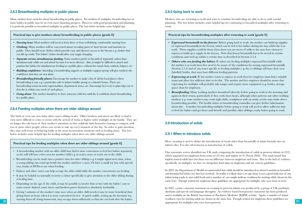#### **2.8.3 Breastfeeding multiples in public places**

Many mothers have anxieties about breastfeeding in public places. For mothers of multiples, breastfeeding two or more babies in public may be an even more daunting prospect. However, with good preparation and planning, it is perfectly possible to breastfeed multiples in public places. The box below includes some helpful tips.

#### **Practical tips to give mothers about breastfeeding in public places [grade E]**

- *Nursing bras:* Most mothers will need at least three or four well-fitting, comfortable nursing bras.
- *Clothing:* Many mothers will be concerned about revealing parts of their breasts and tummies in public. They should wear clothes which provide easy and discreet access to the breasts e.g. clothes that can lift up easily. The babies' clothes should allow easy nappy changing.
- *Separate versus simultaneous feeding:* Some mothers prefer to breastfeed separately rather than simultaneously while out and about because it is more discreet. Also, it might be difficult to attach and position the babies for simultaneous feeding in a public place, without her usual chair, cushion, helpers, etc.
- *Building confidence:* Attending a breastfeeding support or multiples support group will give mothers the confidence that they are not alone.
- *Breastfeeding-friendly places:* Encourage the mother to make a list of all the local places where breastfeeding is easy e.g. a particular café or infant/toddler group or a friend's house. There are breastfeeding rooms in some supermarkets, department stores, etc. Encourage her to try to plan trips out so that she is within easy reach of such places.
- *Going alone:* The mother should try to have someone with her until she is confident about breastfeeding in a public place.

#### **2.8.4 Feeding multiples when there are older siblings around**

The birth of even one new baby often causes sibling rivalry. Older brothers and sisters are likely to find it even more difficult to come to terms with the arrival of twins or higher order multiples in the family. They are no longer the sole focus of their mother's attention, as they suddenly find themselves having to compete with two or more other people, whose care seems to take up every moment of the day. In order to gain attention, they may well resort to behaving badly at the most inconvenient moments such as feeding times. The box below includes some helpful tips for feeding multiples when there are older siblings around.

#### **Practical tips for feeding multiples when there are older siblings around [grade E]**

- A breastfeeding mother with an older child may find it more convenient to feed her babies separately, as she will still have a free arm for another child e.g. to read a story or reach out to the child.
- Breastfeeding can be made into a positive time for other siblings e.g. it might signal story time, when a young sibling can crawl up beside the mother and have a story. Or have a small toy box with special toys, books or DVDs to use when feeding.
- Fathers and other carers can help occupy the older child while the mother concentrates on feeding.
- It may be helpful occasionally to invite a visitor specifically to give attention to the older sibling during a feeding time.
- Depending on the age of the child, it may be possible to involve him or her with the babies' care to some extent. Indeed, some sisters and brothers prove themselves absolutely invaluable.
- Giving 5 minutes of the mother's time now when an older child needs it may be more beneficial than giving them an hour, when it is more convenient for her. A quick cuddle, setting up the favourite toy, starting them off doing homework, may occupy them sufficiently so that she can look after the babies.

### **2.8.5 Going back to work**

Mothers who are returning to work and want to continue breastfeeding are able to do so with careful planning. The box below includes some helpful tips for continuing to breastfeed multiples after returning to work.

#### **Practical tips for breastfeeding multiples after returning to work [grade E]**

- *Expressed breastmilk in the freezer:* Before going back to work, the mother can build up supplies of expressed breastmilk in the freezer, which can be fed to her babies during the day, whilst she is at work. These supplies could be from when there was an excess of milk or she may have chosen to express to build up a supply in the freezer. Note that frozen breastmilk has to be stored in certain conditions and used up within a certain time as described in Section 2.5.4.
- *Others who are feeding the babies:* If others are feeding multiples expressed breastmilk while the mother is at work then they need to be aware of the conditions for storing expressed breastmilk (Section 2.5.4) and of any issues specific to feeding multiples e.g. the co-siblings will have their own (labelled) bottles, they may have different feeding patterns.
- **Expressing at work:** If the mother wants to express at work then her employer must find a suitable room and allow her sufficient time to do this. The mother and her employer should be aware that expressing for multiples will probably take longer and require more equipment (e.g. bottles, storage space) than for singletons.
- *Breastfeeding:* Many working mothers breastfeed (directly) before going to work in the morning and again on their return, particularly if they work short hours, although other patterns suit other working mothers (e.g. some mothers may work night shifts, workplaces with an onsite crèche may make direct breastfeeding possible). The health visitor or breastfeeding counsellor can give further information about this. A mother breastfeeding multiples before going to work will need to allow sufficient time to feed the babies and get them (and herself and possibly older siblings) ready before going to work.

#### **2.9 Introduction of solids**

#### **2.9.1 When to introduce solids**

Here, weaning is used to define the introduction of foods other than breastmilk or infant formula into an infant's diet. It is also often known as introduction of solids.

Our systematic review identified one UK study comparing the introduction of solids in preterm infants (n=253) which separated out singletons from twins ( $n=33$  sets) and triplets ( $n=3$ ) (Norris 2002). The study found that triplets started solids later but there was no difference between singletons and twins. Due to the lack of evidence specifically on multiples, we have to extrapolate from data on singletons and use current guidelines.

In 2003, the Department of Health recommended that solids should be introduced at about 6 months in breastfed and formula-fed babies (see first box overleaf). In reality it is likely that a set age alone is not a good indicator of any infant being ready to start solid foods and a number of cues might indicate readiness for starting solids (shown in the same box). Though written for singletons these guidelines are appropriate for multiples who were born at term.

**38 appropriate for multiples who were born preterm. 39 39 appropriate** for multiples who were born preterm. In 2007, a joint consensus statement on weaning in preterm infants was produced by a group of UK paediatric dietitians and speech and language therapists. An evidence based best-practice statement has been produced and is available on the British Association of Paediatric Medicine (BAPM) website. Again, a number of infant readiness cues for starting solids are shown in the same box. Though written for singletons these guidelines are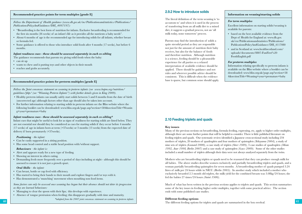#### **Recommended practice points for term multiples [grade E]**

*Follow the Department of Health guidance (www.dh.gov.uk/en/Publicationsandstatistics/Publications/ PublicationsPolicyAndGuidance/DH\_4097197):*

- "Breastfeeding is the best form of nutrition for infants. Exclusive breastfeeding is recommended for the first six months (26 weeks) of an infant's life as it provides all the nutrients a baby needs".
- About 6 months of age is the recommended age for introducing solids for all infants, whether breast or formula fed.
- Some guidance is offered to those who introduce solid foods after 4 months (17 weeks), but before 6 months.

#### *Infant readiness cues - these should be assessed separately in each co-sibling*

- The guidance recommends that parents try giving solid foods when the baby:
- can sit up
- wants to chew and is putting toys and other objects in their mouth
- reaches and grabs accurately.

#### **Recommended practice points for preterm multiples [grade E]**

*Follow the Joint consensus statement on weaning in preterm infants (see www.bapm.org/nutrition/ guidelines/php/ (see "Weaning Preterm Infants") with further details given in King 2009).*

- Healthy preterm infants can usually safely start solids between 5 and 8 months from the date of birth (uncorrected age) although factors other than age should also be taken into account.
- For further information relating to starting solids in preterm infants see the Bliss website where the following booklet can be downloaded: www.bliss.org.uk/page.asp?section=584&sectionTitle=Weanin g+your+premature+baby

#### *Infant readiness cues - these should be assessed separately in each co-sibling\**

Infant cues that might be useful to look for as signs of readiness for starting solids are listed below. They are not essential nor should they be considered as cues for starting solids if they occur before 4 months (17 weeks) of age in infants born at term (>37weeks) or 3 months (13 weeks) from the expected date of delivery if born prematurely (<37weeks).

#### *Positioning - the infant:*

- Can be easily supported in a sitting position.
- Has some head control and a stable head position with/without support.

#### *Behaviours - the infant is:*

- Alert and appears ready for a new type of feeding.
- Showing an interest in others eating.
- Demanding feeds more frequently over a period of days including at night although this should be assessed to ensure it is not just a growth spurt.

#### *Oral Skills - the infant:*

- Can breast, bottle or cup feed with efficiency.
- Has started to bring their hands to their mouth and explore fingers and/or toys with it.
- Has demonstrated a 'munching' movement when mouthing non food items.

*Some factors can only be assessed once weaning has begun but their absence should not deter its progression as they are learned behaviours:*

- Managing to clear the spoon with their lips; this develops with experience.
- Absence of tongue protrusion when feeding; this disappears gradually with time and maturity. *\*adapted from the 2007 joint consensus statement on weaning in preterm infants*

#### **2.9.2 How to introduce solids**

The literal definition of the term weaning is 'to accustom to' and when it is used in the process of transferring from an all milk diet to a mixed diet, it suggests a gradual process, not an 'all milk today, none tomorrow' process.

Parents may find the introduction of solids a quite stressful period as they are responsible not just for the amount of nutrition their baby receives, but also for the balance of foods and therefore nutrition. Although nutrition is a science, feeding should be a pleasurable experience for all parties so a relaxed interpretation of available evidence should be applied. There should be guidance and not rules and wherever possible advice should be consistent. This is difficult when the evidence base is sparse, but common sense should apply.

#### **Information on weaning/starting solids**

#### *For term multiples*

Excellent information on starting solids/weaning is available for parents:

- based on the best available evidence from the Dept of Health for England at: www.dh.gov. uk/en/Publicationsandstatistics/Publications/ PublicationsPolicyAndGuidance/DH\_4117080
- and in Scotland at: www.healthscotland.com/ uploads/documents/8807-FunFirst%20 FoodsEnglish.pdf

#### *For preterm multiples*

Information relating specifically to preterm infants is available on the Bliss website where a booklet can be downloaded: www.bliss.org.uk/page.asp?section=58 4&sectionTitle=Weaning+your+premature+baby

#### **2.10 Feeding triplets and quads**

#### **Key issues**

Many of the previous sections on breastfeeding, formula feeding, expressing, etc, apply to higher order multiples, although there are some further points that will be helpful to consider. There is little published literature on feeding triplets and quads. Our systematic review identified a Japanese cross-sectional study including 234 mothers of triplets, 20 mothers of quadruplets and four mothers of quintuplets *(Yokoyama 2004),* a study of nine sets of triplets *(Leonard 2000),* a case study of triplets *(Storr 1989),* 3 case studies of quadruplets *(Mean 1992, Auer 1998, Berlin 2007)* and a case study of quintuplets (*Szucs 2009).* Some of the other studies included a small number of triplets although their data were not always analysed separately from the twins.

Mothers who are breastfeeding triplets or quads need to be reassured that they can produce enough milk for all babies. The above studies describe women exclusively and partially breastfeeding triplets and quads, and a woman partially breastfeeding quintuplets for seven months. A breastfeeding mother of quads pumped 3.24 litres of milk per 24 hours while in NICU *(Berlin 2005).* In another study which included a mother who exclusively breastfed 2.5 month old triplets, the milk yield for the combined breasts was 3.08kg/24 hours; she fed the babies 27 times/24 hours *(Saint 1986).*

Much of what has been written in the previous sections applies to triplets and quads. This section summarises some of the key issues in feeding higher order multiples, together with some practical advice. The section ends with some published case studies.

#### **Different feeding options**

**40 41** The different feeding options for triplets and quads are summarised in the box overleaf.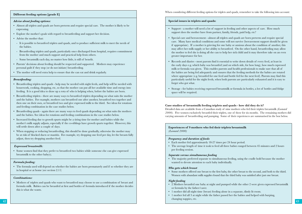#### **Different feeding options [grade E]**

#### *Advise about feeding options:*

- Almost all triplets and quads are born preterm and require special care. The mother is likely to be expressing.
- Explore the mother's goals with regard to breastfeeding and support her decision.
- Advise the mother that:
- It is possible to breastfeed triplets and quads, and to produce sufficient milk to meet the needs of the babies.
- Breastfeeding triplets and quads, particularly once discharged from hospital, requires commitment from the mother and much support and practical help from others.
- Some breastmilk each day, no matter how little, is still of benefit.
- Parents' decisions about feeding should be respected and supported. Mothers may experience personal guilt if they stop (or do not initiate) breastfeeding.
- The mother will need extra help to ensure that she can eat and drink regularly.

#### *Breastfeeding:*

- Breastfeeding triplets and quads help may be needed with night feeds, and help will be needed with housework, cooking, shopping, etc, so that the mother can put all her available time and energy into feeding. It is a good idea to draw up a rota of who is helping when, before the babies are born.
- Breastfeeding triplets there are many ways to breastfeed triplets depending on what suits the mother and the babies. For example, mothers can breastfeed one after another, breastfeed two together and then one on their own, or breastfeed two and give expressed milk to the third. See ideas for rotations and feeding combination in the case studies below.
- Breastfeeding quads again there are many ways to feed quads depending on what suits the mothers and the babies. See ideas for rotations and feeding combinations in the case studies below.
- Increased feeding due to growth spurts might be a tiring time for mother and babies while the mother's milk supply adjusts, especially if the co-siblings have growth spurts together. However, this will settle down after a couple of days.
- When stopping or reducing breastfeeding, this should be done gradually, otherwise the mother may be at risk of blocked ducts or mastitis. For example, try dropping one feed per day, let the breasts fully adjust, then try dropping another feed.

#### *Expressed breastmilk:*

• Some women find that they prefer to breastfeed two babies while someone else can give expressed breastmilk to the other baby(s).

#### *Formula feeding:*

• The formula used will depend on whether the babies are born prematurely and if so whether they are in hospital or at home (see section 2.11)

#### *Combinations:*

• Mothers of triplets and quads who want to breastfeed may choose to use a combination of breast and formula milk. Babies can be breastfed at first and bottles of formula introduced if the mother decides this is what she wants.

When considering different feeding options for triplets and quads, remember to take the following into account:

#### **Special issues in triplets and quads:**

- Support a mother will need a lot of support in feeding and other aspects of care. How much support does the mother have from partner, family, friends, paid help, etc?
- Special care and bereavement almost all triplets and quads are born preterm and require special care. Many have medical conditions and some will not survive (bereavement support should be given if appropriate). If a mother is grieving for one baby or anxious about the condition of another, this may affect her milk supply or her ability to breastfeed. On the other hand, breastfeeding may allow the mother to feel she is doing all she can to help her sick child and it may therefore take on an even greater importance for her.
- Records and diaries most parents find it essential to write down details of every feed, at least in the early days e.g. which baby was breastfed (and on which side, for how long), how much expressed milk or formula was given. This enables parents and health professionals to make sure that all of the babies are being fed adequately and ensures that the feeding methods for the babies are rotated where appropriate (e.g. breastfed for one feed and bottle fed for the next feed). Parents may find this particularly useful for the night feeds, when both parents are particularly exhausted and it is easy to forget who got what.
- Storage for babies receiving expressed breastmilk or formula in bottles, a lot of bottles and fridge space will be required.

#### **Case studies of breastmilk feeding triplets and quads - how did they do it?**

Detailed data are available from a Canadian study of nine mothers who fed their triplets breastmilk *(Leonard 2000).* Five women exclusively breastfed their triplets, one of these for six months. The remaining mothers did varying amounts of breastfeeding and pumping. Some of their experiences are summarised in the box below.

#### **Experiences of 9 mothers who fed their triplets breastmilk**  *(Leonard 2000)*

#### *Frequency and duration of feeds*

- Each mother fed approximately 18-27 times per 24 hour period.
- The average length of time it took to feed all three babies ranged between 45 minutes and 2 hours per feeding session.

#### *Separate versus simultaneous feeding*

• The majority preferred separate to simultaneous feeding, using the cradle hold because the mother wanted to devote attention to each baby individually.

#### *Who gets which breast*

• Some mothers offered one breast to the first baby, the other breast to the second, and both to the third. Women with abundant milk supplies found that the third baby was satisfied after just one breast.

#### *Night feeding*

- 2 Mothers breastfed one baby at night and pumped while the other 2 were given expressed breastmilk or formula by the father/carer.
- 1 mother did all night time (breast) feeding alone in a separate, dimly lit room.
- **42 43** • 1 mother fed all 3 at night while the father passed her the babies and helped with burping, changing nappies, etc.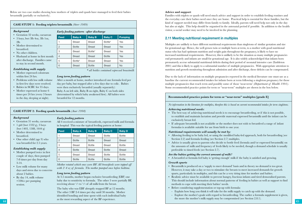Below are two case studies showing how mothers of triplets and quads have managed to feed their babies breastmilk (partially or exclusively).

| <b>CASE STUDY 1: Feeding triplets breastmilk</b> (Storr 1989)              |                |                                         |               |               |                                              |  |
|----------------------------------------------------------------------------|----------------|-----------------------------------------|---------------|---------------|----------------------------------------------|--|
| Background                                                                 |                | Early feeding pattern - after discharge |               |               |                                              |  |
| • Gestation 32 weeks, caesarean<br>$\bullet$ 3 boys, bwt 3lb 4oz, 3lb 1oz, | Feed           | <b>Baby A</b>                           | <b>Baby B</b> | <b>Baby C</b> | <b>Pumping</b>                               |  |
| 2 <sub>1</sub>                                                             |                | <b>Breast</b>                           | <b>Breast</b> | Bottle*       | Yes                                          |  |
| • Mother determined to                                                     | $\overline{2}$ | <b>Bottle</b>                           | <b>Breast</b> | <b>Breast</b> | Yes                                          |  |
| breastfeed.<br>• No other children.                                        | 3              | <b>Breast</b>                           | Bottle*       | <b>Breast</b> | Yes                                          |  |
| • Husband at home in first month                                           | 4              | <b>Breast</b>                           | <b>Breast</b> | <b>Bottle</b> | Yes                                          |  |
| after discharge. Families came                                             | 5              | Bottle*                                 | <b>Breast</b> | <b>Breast</b> | Yes                                          |  |
| to stay in second month.                                                   | 6              | <b>Breast</b>                           | <b>Bottle</b> | <b>Breast</b> | <b>No</b>                                    |  |
| Establishing milk supply                                                   |                |                                         |               |               | * all hottles contained expressed breastmili |  |

#### *Establishing milk supply*

*Background*

- Mother expressed colostrum within first 24 hrs.
- Problems with low milk volume in first few days were resolved.
- Babies in SCBU for 35 days.
- Mother expressed at home 6 times per 24 hrs (every 3 hours in the day, sleeping at night).

#### *\* all bottles contained expressed breastmilk*

#### *Long term feeding pattern*

After a month at home, mother introduced one formula feed per day per baby, but stopped after a few days due to colic. Babies were then exclusively breastfed (usually separately):

Baby A on left side, Baby B on right, Baby C on both sides (determined by which baby awakened first). All babies were breastfed for 12 months.

#### **Case study 2: Feeding quads breastmilk** *(Auer 1998)*

#### *Background*

- Gestation 31 weeks, caesarean
- 1 girl (bwt 1332 g), 3 boys (bwt 1403, 1588, 1644 g)
- Mother determined to breastfeed.
- One other child (age 9) who was breastfed for 2.5 years.

#### *Establishing milk supply*

- Mother pumped twice in first couple of days, then pumped 7-8 times per day from day 3-14.
- Low milk volume for many days and stress due to concerns about 2 babies.
- By day 14, milk volume  $=100cc$  per pumping session.

#### *Early feeding pattern*

All 4 received a mixture of breastfeeds, expressed milk and formula in hospital This was the typical feeding pattern at home:

| Feed           | <b>Baby A</b> | <b>Baby B</b> | <b>Baby C</b> | <b>Baby D</b> |
|----------------|---------------|---------------|---------------|---------------|
|                | <b>Breast</b> | <b>Breast</b> | <b>Bottle</b> | <b>Bottle</b> |
| $\overline{c}$ | <b>Bottle</b> | <b>Bottle</b> | <b>Breast</b> | <b>Breast</b> |
| 3              | <b>Breast</b> | <b>Bottle</b> | <b>Breast</b> | <b>Bottle</b> |
| 4              | <b>Bottle</b> | <b>Breast</b> | <b>Bottle</b> | <b>Breast</b> |
| 5              | <b>Breast</b> | <b>Breast</b> | <b>Bottle</b> | <b>Bottle</b> |
| 6              | <b>Bottle</b> | <b>Bottle</b> | <b>Bottle</b> | <b>Bottle</b> |

*Mother rotated which ones were BF. All breastfeeds were topped off with 2-4 oz of formula. The mother pumped once before bedtime.*

#### *Long term feeding pattern*

At 3.5 months, mother began exclusive breastfeeding (EBF) one baby due to sensitivity to formula. The other 3 were partially BF, receiving about  $\frac{1}{3}$  to  $\frac{1}{2}$  of all milk from the breast.

**44 145 145 146 146 146 146 146 146 146 146 146 146 146 146 146 146 146 146 146 146 146 146 146 146 146 146 146 146 146 146 146 146 146 146 146 146** The baby who was EBF abruptly stopped BF at 12 months. The other 3 BF 2-4 times per day until 30 months. Mother identified bonding and time spent with each individual baby as the most rewarding aspect of the BF experience.

#### **Advice and support**

Families with triplets or quads will need much advice and support in order to establish feeding routines and the everyday care their babies need once they are home. Practical help is essential for these families, but the kind of support needed may differ from family to family. Ideally, parents will need help not only in the day but also at night. This help should be organised in the antenatal period if possible. In addition to the health visitor, a social worker may need to be involved in the planning.

## **2.11 Meeting nutritional requirement in multiples**

Multiples are unlikely to have different nutritional requirements than singletons of similar gestation and size for gestational age. Hence, the well grown twin or multiple born at term, to a mother with good nutritional status who has had optimum nutrition and weight gain throughout the pregnancy, is likely to have no increased nutritional requirements. However, this is unlikely to be the situation as many multiple pregnancies end prematurely and infants are small for gestational age. It is also widely acknowledged that infants born prematurely accrue substantial nutritional deficits during their period of neonatal intensive care (Embleton 2001) and this is likely to apply to a substantial number of multiple pregnancies. With appropriate attention to nutrition and growth monitoring throughout admission and after discharge, these deficits can be compensated.

Due to the lack of information on multiple pregnancies reported in the medical literature one must use as a baseline the current recommended intakes for infants born at term following a singleton pregnancy for those multiple pregnancies that reach term and possibly some of those 'near-term' *(Department of Health 1991).*  Some recommended practice points for term or "near-term" multiples are shown in the box below.

#### **Recommended practice points for term or "near-term" multiples [grade E]**

*No information in the literature for multiples, therefore this is based on current recommended intakes for term singletons.*

#### *Achieving nutritional needs:*

- The best way of achieving nutritional needs is to encourage breastfeeding, or if this is not possible, to establish and maintain lactation and provide maternal expressed breastmilk until the infant can be exclusively breast fed.
- If adequate breastmilk is not available or the mother does not wish to breastfeed a range of infant formulas is available suitable for use from birth to one year.

#### *Nutritional requirements will usually be met by:*

- Allowing feeding to be baby led, or using the modified baby-led approach, both for breastfeeding (see Section 2.2) and formula feeding (see Section 2.7) multiples.
- Advice is usually given to parents who decide to bottle feed (formula and/or expressed breastmilk) on the amounts of milk and frequency of feeds likely to be needed, though a demand schedule is usually preferable to timed feeds (see Section 2.7).

#### *Are the babies getting the correct amount of milk?*

• A breastfed or formula fed baby is 'getting enough' milk if the baby is satisfied and growing.

#### *Growth spurts*

- Breastmilk is produced on a 'supply to meet demand' basis and in theory no demand is too great. However, it may take a day or two to stimulate the breasts to meet increased demands for growth spurts, particularly in multiples, and this can be a very tiring time for mother and babies.
- Realistic advice must be available to prevent hungry, fractious infants and tired demoralised parents. This should include information about normal patterns of feeding in babies as well as support to find methods to cope with meeting their babies' needs.
- Before considering supplementation or top-up with formula:
- Explain how long you think it will take for the milk supply to catch up with the demand.
- Explore the mother's goals with regard to breastfeeding. The earlier a formula supplement is given, the more the mother's milk supply may be compromised (see Section 2.8.1).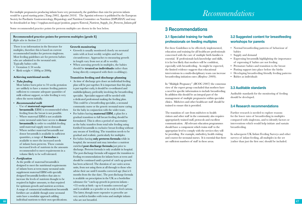For multiple pregnancies producing infants born very prematurely, the guidelines that exist for preterm infants would be a good starting point *[Tsang 2005, Agostini 2010].* The Agostini reference is published by the European Society for Paediatric Gastroenterology, Hepatology and Nutrition Committee on Nutrition (ESPGHAN) and may be downloaded at: http://espghan.med.up.pt/position\_papers/Enteral\_Nutrient\_Supply\_for\_Preterm\_Infants.pdf

Some recommended practice points for preterm multiples are shown in the box below.

**Recommended practice points for preterm multiples [grade E]** *Refer also to Section 2.3*

There is no information in the literature for multiples, therefore this is based on current recommended intakes for preterm singletons. Most feeding guidelines are for preterm babies who are admitted to the neonatal unit. Typically babies with:

- Gestation ≤ 34 weeks
- Birth weight  $\leq 1800$ g or 2000g

#### **Achieving nutritional needs:**

• *Tube feeding*

Most babies born prior to 34 weeks gestation are unlikely to have a mature feeding pattern sufficient to consume adequate quantities of milk without support, so tube feeding is very often the norm initially.

## • *Recommended milk*

- Use of **maternal expressed breastmilk** (EBM) is recommended when feeding from the breast is not possible.
- Where maternal EBM is not available some neonatal units have access to **donor breastmilk** in order to establish feeding until maternal supply meets demand.
- Where neither maternal breastmilk nor donor breastmilk is available in sufficient quantities, a range of **formulas** is available to meet the increased needs of infants born preterm. These contain increased levels of nutrients in the amounts recommended to meet requirements in a volume likely to be well tolerated.
- *Fortification*

As the profile of maternal breastmilk is designed to meet the nutritional requirements of infants born at term many neonatal units supplement maternal EBM with specially designed breastmilk fortifiers that aim to increase the levels of nutrients thought to be required in higher amounts, to that required for optimum growth and nutrient accretion. A range of commercial multinutrient breastmilk fortifiers are available though some neonatal units have a modular approach adding individual nutrients to their own specifications.

#### **Growth monitoring**

- Growth is usually monitored closely on neonatal units with at least weekly weights and head circumference. Approaches to measuring growth in length vary from not at all to weekly.
- When assessing growth in multiples, the babies should be **treated as individuals** rather than being directly compared with their co-sibling(s).

#### **Transition feeding and discharge planning**

- As time of discharge gets closer an individual feeding plan will be put together. It is important that this plan is put together early, it should be co-ordinated and multidisciplinary, preferably involving the breastfeeding specialist. Specialist support will be needed with a dedicated professional making the feeding plan. This could be a breastfeeding specialist, a neonatal community nurse or the generic neonatal nurse caring for the baby in conjunction with the wider team.
- For babies having **maternal EBM**, a plan for a gradual transition to full breast feeding should be formulated. This is often a period of uncertainty as the baby transfers from total tube feeding using fortified breastmilk to exclusive breast feeding without any means of fortifying. The transition needs to be gradual and realistic, particularly for multiples.

**46 and video and the second secondary secondary secondary with all not be easily deviated.** • For babies having **only preterm formula** while in hospital, the neonatal unit may introduce a nutrient enriched **post discharge formula** just prior to discharge. Preterm formula is only available in hospital. The post discharge formula will support the transition to feeding recommendations for infants born at term and should be continued until a period of catch up growth has been achieved. The duration of use varies across units, from not using them at all through to those who advise their use until 6 months corrected age (that is 6 months from the due date). The post discharge formula is available on prescription in the UK as a borderline substance for "catch-up growth in preterm infants - <35 weeks at birth - up to 6 months corrected age" and is available as a powder or in ready to feed cartons. The latter, though more expensive to prescribe are very useful in families with twins and multiple infants who are not breastfed.

## *Recommendations*

## **3 Recommendations**

## **3.1 Specialist training for health professionals on feeding multiples**

For these Guidelines to be effectively implemented, education and training for all healthcare professionals concerned with the care of multiple birth families is essential. If professionals lack knowledge and skills, it is far less likely that mothers will be confident, especially with breastfeeding. As might be expected, the limited evidence suggests that educational interventions in a multi-disciplinary team can increase breastfeeding initiation rates *(Renfrew 2009).*

In "Multiple Pregnancy" *(RCOG 2007)* the consensus view of the expert group concluded that mothers have a need for specific information to include breastfeeding. In addition this should be an integral part of the management of multiple pregnancies within specialist clinics. Midwives and other healthcare staff should be trained to ensure this is provided.

The transition of care from midwives to health visitors and other staff in the community also requires appropriately trained staff, protocols and excellent communication. All relevant education programmes should have a component which trains staff to the appropriate level to comply with the services they will be providing. For example, midwifery, health visiting and courses for neonatal nurses. It is essential that there are sufficient numbers of staff in these areas.

## **3.2 Suggested content for breastfeeding workshops for parents**

- Normal breastfeeding patterns of behaviour of babies
- Supply and demand
- Expressing breastmilk highlighting the importance of expressing if babies are not feeding
- Premature babies and transition to the breast
- Putting support into place before the births
- Developing breastfeeding friendly feeding patterns
- Babies as individuals

#### **3.3 Auditable standards**

Auditable standards for the monitoring of feeding should be developed.

#### **3.4 Research recommendations**

Further research is needed to explore reasons for the lower rates of breastfeeding in multiples compared with singletons, and to identify factors or interventions which would help initiate and sustain breastfeeding.

In subsequent UK Infant Feeding Surveys and other surveys of infant feeding, all multiples in the set (rather than just the first one) should be included.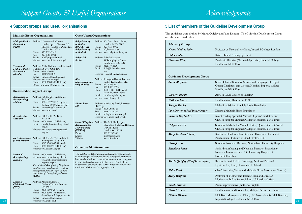## **4 Support groups and useful organisations**

|                                                                      | <b>Multiple Births Organisations</b>                                                                                                                                                                                                                                                                | <b>Other Useful Organisations</b>                                                                                                                                                                                                                                                                                                                                  |
|----------------------------------------------------------------------|-----------------------------------------------------------------------------------------------------------------------------------------------------------------------------------------------------------------------------------------------------------------------------------------------------|--------------------------------------------------------------------------------------------------------------------------------------------------------------------------------------------------------------------------------------------------------------------------------------------------------------------------------------------------------------------|
| <b>Multiple Births</b><br>Foundation<br>(MBF)                        | Address: Hammersmith House,<br>Level 4, Queen Charlotte's &<br>Chelsea Hospital, Du Cane Rd,<br>London W12 0HS<br>Phone: 020 3313 3519<br>Fax:<br>020 8383 3041<br>Email: mbf@imperial.nhs.uk<br>Website: www.multiplebirths.org.uk                                                                 | Address: 30a Great Sutton Street,<br><b>Baby Friendly</b><br><b>Initiative</b><br>London EC1V 0DU<br>(UNICEF UK<br>Phone: 020 7375 6052<br><b>Baby Friendly</b><br>Email: bfi@unicef.org.uk<br><i>Initiative</i> )<br>Website: www.babyfriendly.org.uk<br><b>Baby Milk</b><br>Address: Baby Milk Action,<br>Action<br>34 Trumpington Street,<br>Cambridge, CB2 1QY |
| Twins and<br><b>Multiple Births</b><br><b>Association</b><br>(Tamba) | Address: 2 The Willows, Gardner Road,<br>Guildford, Surrey GU1 4PG<br>Phone: 01483 304442<br>Fax:<br>01483 304483<br>Email: enquiries@tamba.org.uk<br>Website: www.tamba.org.uk<br>Phone: 0800 138 0509 (Helpline)<br>(10am-1pm, 7pm-10pm every day)                                                | 01223 464420<br>Phone:<br>Email:<br>info@babymilkaction<br>.org<br>Website: www.babymilkaction.org<br><b>Bliss</b><br>Address: 9 Holyrood Street, London<br>(The special care<br>Bridge, London SE1 2EL<br>baby charity)<br>Phone: 020 7 378 1122<br>020 7 403 0673<br>Fax:                                                                                        |
| Association of                                                       | <b>Breastfeeding Support Groups</b><br>Address: PO Box 207, Bridgewater                                                                                                                                                                                                                             | Phone: 0500 618 140 (Helpline)<br>(Mon-Fri, 9am - 9pm)<br>enquiries@bliss.org.uk<br>Email:                                                                                                                                                                                                                                                                         |
| <b>Breastfeeding</b><br><b>Mothers</b>                               | TA67YT<br>Phone: 08444 122 949 (Helpline)<br>$(9.30am-10.30pm$ every day)<br>Email: counselling@abm.me.uk<br>Website: www.abm.me.uk                                                                                                                                                                 | Website: www.bliss.org.uk<br>Home Start<br>Address: 2 Salisbury Road, Leicester<br>UK<br>LE17QR<br>Phone: 0800 068 6368<br>Fax:<br>0116 233 0232                                                                                                                                                                                                                   |
| <b>Breastfeeding</b><br>Network                                      | Address: PO Box 11126, Paisley<br>PA2 8YB<br>Phone: 0300 100 0210 (Helpline)<br>Email:<br>email@breastfeedingnetwork<br>.org.uk<br>Website: www.breastfeedingnetwork<br>.org.uk                                                                                                                     | Email: info@home-start.org.uk<br>Website: www.home-start.org.uk<br><b>United Kingdom</b> Address: The Milk Bank, Queen<br>Association for<br>Charlotte's & Chelsea Hospital,<br>Milk Banking<br>Du Cane Road<br>(UKAMB)<br>London W12 0HS<br>Phone:<br>020 3313 3559                                                                                               |
| (Great Britain)                                                      | La Leche League Address: PO Box 29, West Bridgford,<br>Nottingham NG2 7NP.<br>Phone: 0845 456 1855 (General)<br>Phone: 0845 120 2918 (Helpline)<br>Website: www.laleche.org.uk                                                                                                                      | Email:<br>info@ukamb.org<br>Website:<br>www.ukamb.org<br>Other useful information                                                                                                                                                                                                                                                                                  |
| <b>National</b><br><b>Breastfeeding</b><br>Helpline                  | Phone: 0300 100 0212 (Helpline)<br>Websites:www.breastfeeding.nhs.uk<br>www.nationalbreastfeeding<br>helpline.org.uk<br>The National Breastfeeding Helpline is<br>a helpline run in collaboration with the<br>Breastfeeding Network (BfN) and the<br>Association of Breastfeeding Mothers<br>(ABM). | The WHO/UNICEF recommends an international code<br>of marketing of infant formula and other products used as<br>breast-milk substitutes. Any information or materials given<br>to parents should comply with this code. Details of the<br>code may be downloaded at WHO (http://www.who.int/<br>nutrition/publications/code_english.pdf).                          |
| <b>National</b><br>Childbirth Trust<br>(NCT)                         | Address: Alexandra House,<br>Oldham Terrace, London<br>W <sub>3</sub> 6NH<br>Phone: 0300 3300770 (General)<br>Phone: 0300 330 0771 (Helpline)<br>(8am-10pm, 7 days per week)<br>Email: enquiries@nct.org.uk<br>Website: www.nct.org.uk                                                              |                                                                                                                                                                                                                                                                                                                                                                    |

## **5 List of members of the Guideline Development Group**

The guidelines were drafted by Maria Quigley and Jane Denton. The Guideline Development Group members are listed below:

| <b>Multiple Births</b> Address: Hammersmith House,<br>Level 4, Oueen Charlotte's &<br>Foundation |                                                                                                                                                                                                                 | $Baby$ Friendly<br>Initiative              | Address: 30a Great Sutton Street,<br>London EC1V 0DU                                                                                                                         | <b>Advisory Group</b>                                       |                                                                                                                                         |
|--------------------------------------------------------------------------------------------------|-----------------------------------------------------------------------------------------------------------------------------------------------------------------------------------------------------------------|--------------------------------------------|------------------------------------------------------------------------------------------------------------------------------------------------------------------------------|-------------------------------------------------------------|-----------------------------------------------------------------------------------------------------------------------------------------|
| (MBF)                                                                                            | Chelsea Hospital, Du Cane Rd,<br>London W12 0HS                                                                                                                                                                 | <b>UNICEF UK</b><br><b>Baby Friendly</b>   | Phone: 020 7375 6052<br>Email: bfi@unicef.org.uk                                                                                                                             | Neena Modi (Chair)                                          | Professor of Neonatal Medicine, Imperial College, London                                                                                |
|                                                                                                  | Phone: 020 3313 3519<br>020 8383 3041<br>Fax:                                                                                                                                                                   | <i>Initiative</i> )                        | Website: www.babyfriendly.org.uk                                                                                                                                             | <b>Chloe Fisher</b>                                         | Retired Infant Feeding Specialist                                                                                                       |
|                                                                                                  | Email: mbf@imperial.nhs.uk<br>Website: www.multiplebirths.org.uk                                                                                                                                                | <b>Baby Milk</b><br>Action                 | Address: Baby Milk Action,<br>34 Trumpington Street,<br>Cambridge, CB2 1QY                                                                                                   | <b>Caroline King</b>                                        | Paediatric Dietitian (Neonatal Specialist), Imperial College<br><b>Healthcare NHS Trust</b>                                             |
| Twins and<br>Multiple Births<br>Association<br>(Tamba)                                           | Address: 2 The Willows, Gardner Road,<br>Guildford, Surrey GU1 4PG<br>Phone: 01483 304442<br>Fax: 01483 304483<br>Email: enquiries@tamba.org.uk<br>Website: www.tamba.org.uk<br>Phone: 0800 138 0509 (Helpline) | <b>Bliss</b><br>(The special care          | Phone: 01223 464420<br>Email: info@babymilkaction<br>Website: www.babymilkaction.org<br>Address: 9 Holyrood Street, London<br>Bridge, London SE1 2EL                         | <b>Guideline Development Group</b><br><b>Annie Aloysius</b> | Senior Clinical Specialist Speech and Language Therapist,                                                                               |
|                                                                                                  | $(10am-1pm, 7pm-10pm$ every day)<br><b>Breastfeeding Support Groups</b>                                                                                                                                         | baby charity)                              | Phone: 020 7 378 1122<br>020 7 403 0673<br>Fax:<br>Phone: 0500 618 140 (Helpline)                                                                                            |                                                             | Queen Charlotte's and Chelsea Hospital, Imperial College<br><b>Healthcare NHS Trust</b>                                                 |
|                                                                                                  | Address: PO Box 207, Bridgewater                                                                                                                                                                                |                                            | (Mon-Fri, 9am - 9pm)<br>Email: enquiries@bliss.org.uk                                                                                                                        | Carolyn Basak                                               | Adviser, Royal College of Nursing                                                                                                       |
| Association of<br><b>Breastfeeding</b><br><b>Mothers</b>                                         | TA67YT<br>Phone: 08444 122 949 (Helpline)                                                                                                                                                                       |                                            | Website: www.bliss.org.uk                                                                                                                                                    | <b>Ruth Cockburn</b>                                        | Health Visitor, Hampshire PCT                                                                                                           |
|                                                                                                  | $(9.30am-10.30pm$ every day)<br>Email: counselling@abm.me.uk                                                                                                                                                    | Home Start<br>UK                           | Address: 2 Salisbury Road, Leicester<br>LE17OR                                                                                                                               | <b>Margie Davies</b>                                        | Midwifery Adviser, Multiple Births Foundation                                                                                           |
|                                                                                                  | Website: www.abm.me.uk                                                                                                                                                                                          |                                            | Phone: 0800 068 6368<br>0116 233 0232<br>Fax:                                                                                                                                | Jane Denton (Chief Investigator)                            | Director, Multiple Births Foundation                                                                                                    |
| <b>Breastfeeding</b><br>Network                                                                  | Address: PO Box 11126, Paisley<br>PA2 8YB<br>Phone: 0300 100 0210 (Helpline)                                                                                                                                    |                                            | Email: info@home-start.org.uk<br>Website: www.home-start.org.uk                                                                                                              | Victoria Dugbartey                                          | Infant Feeding Specialist Midwife, Queen Charlotte's and<br>Chelsea Hospital, Imperial College Healthcare NHS Trust                     |
|                                                                                                  | Email: email@breastfeedingnetwork<br>.org.uk<br>Website: www.breastfeedingnetwork                                                                                                                               | Association for<br>Milk Banking<br>(UKAMB) | United Kingdom Address: The Milk Bank, Queen<br>Charlotte's & Chelsea Hospital,<br>Du Cane Road<br>London W12 0HS                                                            | Helga Everard                                               | Specialist Midwife for Multiple Births, Queen Charlotte's and<br>Chelsea Hospital, Imperial College Healthcare NHS Trust                |
|                                                                                                  | .org.uk<br>La Leche League Address: PO Box 29, West Bridgford,                                                                                                                                                  | Phone:<br>Email:<br>Website:               | 020 3313 3559<br>info@ukamb.org<br>www.ukamb.org                                                                                                                             | Mary Fewtrell (Chair)                                       | Reader in Childhood Nutrition and Honorary Consultant<br>Paediatrician, Institute of Child Health, UCL                                  |
| (Great Britain)                                                                                  | Nottingham NG2 7NP.<br>Phone: 0845 456 1855 (General)                                                                                                                                                           |                                            |                                                                                                                                                                              | Chris Jarvis                                                | Specialist Neonatal Dietitian, Nottingham University Hospitals                                                                          |
| National<br><b>Breastfeeding</b>                                                                 | Phone: 0845 120 2918 (Helpline)<br>Website: www.laleche.org.uk<br>Phone: 0300 100 0212 (Helpline)<br>Websites:www.breastfeeding.nhs.uk                                                                          | Other useful information                   | The WHO/UNICEF recommends an international code<br>of marketing of infant formula and other products used as                                                                 | Elizabeth Jones                                             | Senior Breastfeeding and Neonatal Research Practitioner,<br>Neonatal Intensive Care Unit, University Hospital of<br>North Staffordshire |
| Helpline                                                                                         | www.nationalbreastfeeding<br>helpline.org.uk<br>The National Breastfeeding Helpline is                                                                                                                          |                                            | breast-milk substitutes. Any information or materials given<br>to parents should comply with this code. Details of the<br>code may be downloaded at WHO (http://www.who.int/ | Maria Quigley (Chief Investigator)                          | Reader in Statistical Epidemiology, National Perinatal<br>Epidemiology Unit, University of Oxford                                       |
|                                                                                                  | a helpline run in collaboration with the<br>Breastfeeding Network (BfN) and the                                                                                                                                 |                                            | nutrition/publications/code_english.pdf).                                                                                                                                    | <b>Keith Reed</b>                                           | Chief Executive, Twins and Multiple Births Association (Tamba)                                                                          |
|                                                                                                  | <b>Association of Breastfeeding Mothers</b><br>(ABM).                                                                                                                                                           |                                            |                                                                                                                                                                              | Mary Renfrew                                                | Professor of Mother and Infant Health and Director,<br>Mother and Infant Research Unit, University of York                              |
| <b>National</b><br>Childbirth Trust                                                              | Address: Alexandra House,<br>Oldham Terrace, London                                                                                                                                                             |                                            |                                                                                                                                                                              | Janet Rimmer                                                | Parent representative (mother of triplets)                                                                                              |
| $\angle$                                                                                         | W <sub>3</sub> 6NH<br>Phone: 0300 3300770 (General)                                                                                                                                                             |                                            |                                                                                                                                                                              | Rosie Ticciati                                              | Health Visitor and Counsellor, Multiple Births Foundation                                                                               |
|                                                                                                  | Phone: 0300 330 0771 (Helpline)<br>(8am-10pm, 7 days per week)<br>Email: enquiries@nct.org.uk<br>Website: www.nct.org.uk                                                                                        |                                            |                                                                                                                                                                              | Gillian Weaver                                              | Milk Bank Manager and Chair, UK Association for Milk Banking,<br>Imperial College Healthcare NHS Trust                                  |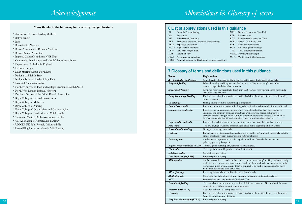**Many thanks to the following for reviewing this publication:**

- \* Association of Breast Feeding Mothers
- \* Baby Friendly
- \* Bliss
- \* Breastfeeding Network
- \* British Association of Perinatal Medicine
- \* British Dietetic Association
- \* Imperial College Healthcare NHS Trust
- \* Community Practitioners' and Health Visitors' Association
- \* Department of Health for England
- \* La Leche League
- \* MPR Steering Group (North East) \* National Childbirth Trust
- 
- \* National Perinatal Epidemiology Unit \* Neonatal Nurses Association
- 
- \* Northern Survey of Twin and Multiple Pregnancy (NorSTAMP)
- \* North West London Perinatal Network
- \* Paediatric Section of the British Dietetic Association
- \* Royal College of General Practitioners
- 
- 
- \* Royal College of Midwives \* Royal College of Nursing \* Royal College of Obstetricians and Gynaecologists
- \* Royal College of Paediatrics and Child Health
- \* Twins and Multiple Births Association (Tamba)
- \* UK Association of Human Milk Banking
- \* UNICEF UK Baby Friendly Initiative (BFI)
- \* United Kingdom Association for Milk Banking

## **6 List of abbreviations used in this guidance**

- BF Breastfed/breastfeeding<br>BM Breastmilk
- BM Breastmilk<br>BFI Baby Friend
- BFI Baby Friendly Initiative<br>EBF Exclusively breastfed/ex
- Exclusively breastfed/exclusive breastfeeding
- EBM Expressed breastmilk
- HOM Higher order multiples LBW Low birth weight infant
- 
- NEC Necrotising enterocolitis

S G A Small for gestational age TPN Total parenteral nutrition

PTB Preterm birth

LOS Length of stay

- VLBW Very low birth weight
	- WHO World Health Organisation

NICU Neonatal Intensive Care Unit

RCT Randomised Controlled Trial S C B U Special Care Baby Unit S ES Socio-economic status

NICE National Institute for Health and Clinical Excellence

## **7 Glossary of terms and definitions used in this guidance**

| * National Childbirth Trust                                                                          | <b>Term</b>                  | <b>Explanation</b>                                                                                                                                                                                                                                                                                                                                     |
|------------------------------------------------------------------------------------------------------|------------------------------|--------------------------------------------------------------------------------------------------------------------------------------------------------------------------------------------------------------------------------------------------------------------------------------------------------------------------------------------------------|
| * National Perinatal Epidemiology Unit                                                               | Any / partial breastfeeding  | Some breastfeeding plus anything else e.g. water-based fluids, solids, other milk.                                                                                                                                                                                                                                                                     |
| * Neonatal Nurses Association                                                                        | Baby-led feeding             | When the timing and frequency of feeding is according to the baby's cues rather<br>than a pre-specified timetable or routine.                                                                                                                                                                                                                          |
| * Northern Survey of Twin and Multiple Pregnancy (NorSTAMP)<br>* North West London Perinatal Network | <b>Breastmilk</b> feeding    | Giving or receiving breastmilk direct from the breast, or receiving expressed breastmilk<br>via a tube, cup or bottle.                                                                                                                                                                                                                                 |
| * Paediatric Section of the British Dietetic Association<br>* Royal College of General Practitioners | Complementary Feeding        | Used here to define introduction of "solid" foods into the diet (i.e. foods other than milk).<br>Same as weaning.                                                                                                                                                                                                                                      |
|                                                                                                      | Co-siblings                  | Siblings arising from the same multiple pregnancy.                                                                                                                                                                                                                                                                                                     |
|                                                                                                      | Donor breast milk            | Breast milk that is from a donor; in this guidance, it refers to breast milk from a milk bank                                                                                                                                                                                                                                                          |
|                                                                                                      | Exclusive breastfeeding      | Breastfeeding with no supplemental liquid or solid foods other than medications or<br>vitamins. For babies in neonatal units, there are no current agreed definitions of<br>exclusive breastfeeding (Renfew 2009), in particular, there is no consensus on whether<br>fortified breastmilk should be classified as partial or exclusive breastfeeding. |
| * UK Association of Human Milk Banking                                                               | Expressed breastmilk         | Breastmilk which the mother expresses from her breast, using her hands or a pump.                                                                                                                                                                                                                                                                      |
| * UNICEF UK Baby Friendly Initiative (BFI)                                                           | Fore milk                    | The low fat, higher volume breastmilk produced at the beginning of a breastfeed                                                                                                                                                                                                                                                                        |
| * United Kingdom Association for Milk Banking                                                        | Formula milk feeding         | Giving or receiving cow's milk                                                                                                                                                                                                                                                                                                                         |
|                                                                                                      | Fortifier                    | Protein, energy, vitamins and minerals which are added to (expressed) breastmilk with the<br>aim of meeting preterm infants' specific nutritional needs.                                                                                                                                                                                               |
|                                                                                                      | Galactogogue                 | A substance that promotes lactation e.g. domperidone. Some herbs are cited as<br>galactogogues e.g. fenugreek.                                                                                                                                                                                                                                         |
|                                                                                                      |                              | <b>Higher order multiples (HOM)</b> Triplets, quads (quadruplets), quintuplets or sextuplets.                                                                                                                                                                                                                                                          |
|                                                                                                      | <b>Hind milk</b>             | The high fat breastmilk produced after the foremilk.                                                                                                                                                                                                                                                                                                   |
|                                                                                                      | Let down reflex              | See milk ejection reflex.                                                                                                                                                                                                                                                                                                                              |
|                                                                                                      | Low birth weight (LBW)       | Birth weight of <2500g                                                                                                                                                                                                                                                                                                                                 |
|                                                                                                      | Milk ejection                | A reflex action that occurs in the breasts in response to the baby's sucking. When the baby<br>sucks, the body produces oxytocin, which works on the muscle cells surrounding the milk<br>storage sacs in the breast, causing them to contract. This pushes the milk into the ducts.<br>Sometimes referred to as let down reflex.                      |
|                                                                                                      | Mixed feeding                | Receiving breastmilk in combination with formula milk.                                                                                                                                                                                                                                                                                                 |
|                                                                                                      | Multiple birth               | More than one baby delivered from the same pregnancy e.g. twins, triplets, etc.                                                                                                                                                                                                                                                                        |
|                                                                                                      | NCT                          | Formerly known as the National Childbirth Trust                                                                                                                                                                                                                                                                                                        |
|                                                                                                      | Parenteral feeding           | The partial or total intravenous provision of fluid and nutrients. Given when infants are<br>unable to accept these via gastrointestinal route.                                                                                                                                                                                                        |
|                                                                                                      | Preterm birth (PTB)          | Gestation at birth <37 completed weeks.                                                                                                                                                                                                                                                                                                                |
|                                                                                                      | Weaning                      | Used here to define introduction of "solid" foods into the diet (i.e. foods other than milk)<br>Same as complementary feeding.                                                                                                                                                                                                                         |
|                                                                                                      | Very low birth weight (VLBW) | Birth weight of <1500g                                                                                                                                                                                                                                                                                                                                 |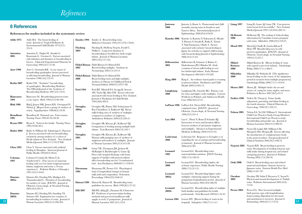## *References*

## **8 References**

#### **References for studies included in the systematic review**

| <b>Addy 1975</b>                                                                                                                                                                            | Addy HA. The breast-feeding of<br>twins. Journal of Tropical Pediatrics &<br>Environmental Child Health 1975;21(5):<br>231-9.                                                                                                               |                   |  |  |
|---------------------------------------------------------------------------------------------------------------------------------------------------------------------------------------------|---------------------------------------------------------------------------------------------------------------------------------------------------------------------------------------------------------------------------------------------|-------------------|--|--|
| Antoniou<br>2005                                                                                                                                                                            | Antoniou E. Daglas M. Iatrakis G.<br>Kourounis G. Greatsas G. Factors associated<br>with initiation and duration of breastfeeding in<br>Greece. Clinical & Experimental Obstetrics &<br>Gynecology 2005;32(1):37-40.                        | 200<br>Fli<br>200 |  |  |
| Auer C, Gromada KK. A case report of<br><b>Auer 1998</b><br>breastfeeding quadruplets: factors perceived<br>as affecting breastfeeding. Journal of Human<br>Lactation 1998;14(2):135-41.    |                                                                                                                                                                                                                                             |                   |  |  |
| <b>Berlin 2007</b>                                                                                                                                                                          | Berlin CM. "Exclusive" breastfeeding<br>of quadruplets. Breastfeeding Medicine:<br>The Official Journal of the Academy of<br>Breastfeeding Medicine 2007;2(2):125-6.                                                                        | For               |  |  |
| Biancuzzo<br>1994                                                                                                                                                                           | Biancuzzo M. Breastfeeding preterm twins:<br>a case report. Birth 1994;21(2):96-100.                                                                                                                                                        |                   |  |  |
| <b>Blak 1986</b>                                                                                                                                                                            | Blak J, Jensen MK, Jensen KD. Overgaard D.<br>Nielsen J. [Report from a group of mothers of<br>twins]. Sygeplejersken 1986;86(2):18-20.                                                                                                     |                   |  |  |
| Broadbent<br>1985                                                                                                                                                                           | Broadbent B. Postnatal care. Twin trauma.<br>Nursing Times 1985;81(32):28-30.                                                                                                                                                               |                   |  |  |
| Bryan 1983                                                                                                                                                                                  | Bryan E. Twins in the family. Nursing Times<br>1983;79(28):50-2.                                                                                                                                                                            | Ge<br>200         |  |  |
| <b>Butler 2004</b>                                                                                                                                                                          | Butler S, Williams M, Tukuitonga C, Paterson<br>J. Factors associated with not breastfeeding<br>exclusively among mothers of a cohort of<br>Pacific infants in New Zealand. New Zealand<br>Medical Journal 2004;117(1195):U908.             | Ge<br>200         |  |  |
| <b>Chen 1992</b>                                                                                                                                                                            | Chen Y. Factors associated with artificial<br>feeding in Shanghai. American Journal of<br>Public Health 1992;82(2):264-6.                                                                                                                   | Gu                |  |  |
| Colonna<br>1997                                                                                                                                                                             | Colonna F, Cuttini M, Melon F, de<br>Vonderweid U. [The success of maternal<br>feeding with very low birth weight premature<br>infants, singletons and twins: a 10-year<br>experience]. Pediatria Medica e Chirurgica<br>1997;19(3):159-63. | Ha<br>198         |  |  |
| Damato<br>2005a                                                                                                                                                                             | Damato EG, Dowling DA, Madigan EA.<br>Thanattherakul C. Duration of breastfeeding<br>for mothers of twins. JOGNN - Journal of<br>Obstetric, Gynecologic, & Neonatal Nursing<br>2005;34(2):201-9.                                            |                   |  |  |
| Damato<br>Damato EG, Dowling DA, Standing TS,<br>Schuster SD. Explanation for cessation of<br>2005b<br>breastfeeding in mothers of twins. Journal of<br>Human Lactation 2005;21(3):296-304. |                                                                                                                                                                                                                                             |                   |  |  |

- **Emsley 1994**Emsley A. Breast-feeding twins. Midwives Chronicle 1994;107(1276):178-81.
- **Flacking**Flacking R, Hedberg Nyqvist, Ewald U, **2003** Wallin L. Long-term duration of breastfeeding in Swedish low birth weight infants. Journal of Human Lactation 2003;19(2):157-165.
- **Flidel-Rimon**Flidel-Rimon O, Shinwell ES. **2002** Breast-feeding multiples. Seminars in Neonatology 2002;7(3):231-9.
- **FRIMON** Flidel-Rimon O, Shinwell ES.<br> **Reast feeding twins and high 2006** Breast feeding twins and high multiples. Archives of Disease in Childhood Fetal & Neonatal Edition 2006;91(5):F377-80.
- **Ford 1994**Ford RP. Mitchell EA, Scragg R, Stewart AW, Taylor BJ, Allen EM. Factors adversely associated with breast feeding in New Zealand. Journal of Paediatrics & Child Health 1994;30(6):483-9.

**Geraghty**Geraghty SR, Pinney SM, Sethuraman G, **2004a** Roy-Chaudhury A, Kalkwarf HJ. Breast milk feeding rates of mothers of multiples compared to mothers of singletons. Ambulatory Pediatrics 2004;4(3):226-31.

**Geraghty**Geraghty SR, Khoury JC, Kalkwarf HJ. **24b** Comparison of feeding among multiple birth infants. Twin Research 2004;7(6):542-7.

**Geraghty**Geraghty SR, Khoury JC, Kalkwarf HJ. **2005** Human milk pumping rates of mothers of singletons and mothers of multiples. Journal of Human Lactation 2005;21(4):413-20.

**Gunn 2000**Gunn TR, Thompson JM, Jackson H, McKnight S, Buckthought G, Gunn AJ. Does early hospital discharge with home support of families with preterm infants affect breastfeeding success? A randomized trial. Acta Paediatrica 2000;89(11):1358-63.

**Hartmann**Hartmann PE, Prosser CG. Physiological **1984** basis of longitudinal changes in human milk yield and composition. Federation Proceedings 1984;43(9):2448-53.

- **Hattori 1999**Hattori R, Hattori H. Breastfeeding twins: guidelines for success. Birth 1999;26(1):37-42.
- $\frac{52}{2}$  **Example 1984:71(11):4-7.** Permatology 2004:24(11):714-22. **Hill 2007**Hill PD, Aldag JC, Zinaman M, Chatterton RT. Predictors of preterm infant feeding methods and perceived insufficient milk supply at week 12 postpartum. Journal of Human Lactation 2007;23(1):32-8.

| Justesen<br>2000      | Justesen A, Kunst A. Postneonatal and child<br>mortality among twins in Southern and<br>Eastern Africa. International Journal of<br>Epidemiology 2000;29(4):678-83.                                     | Liang 1997<br>McKenzie            | Liang R, Gunn AJ, G<br>twins breast feed succ<br>Medical Journal 1997<br>McKenzie PJ. The se                      |
|-----------------------|---------------------------------------------------------------------------------------------------------------------------------------------------------------------------------------------------------|-----------------------------------|-------------------------------------------------------------------------------------------------------------------|
| <b>Kaneko 2006</b>    | Kaneko A, Kaneita Y, Yokoyama E, Miyake<br>T, Harano S, Suzuki K, Ibuka E, Tsutsui                                                                                                                      | 2006                              | information by Cana<br>with twins. Midwifer                                                                       |
|                       | T, YukoYamamoto, Ohida T. Factors<br>associated with exclusive breast-feeding in<br>Japan: for activities to support child-rearing<br>with breast-feeding. Journal of Epidemiology<br>2006;16(2):57-63. | <b>Mead 1992</b>                  | Mead LJ, Chuffo R, l<br>Meier PP. Breastfeed<br>preterm quadruplets.<br>Obstetric, Gynecolog<br>1992;21(3):221-7. |
| Killersreiter<br>2001 | Killersreiter B, Grimmer I, Buhrer C,<br>Dudenhausen JW, Obladen M. Early<br>cessation of breast milk feeding in very<br>low birthweight infants. Early Human                                           | <b>Mikiel-</b><br>Kostyra<br>2000 | Mikiel-Kostyra K. [I<br>with regard to pre-ter<br>Polska 2000;71(11):14                                           |
| <b>King 2009</b>      | Development 2001;60(3):193-205.<br>King C. An evidence based guide to weaning<br>in preterm infants. Paediatrics and Child                                                                              | Mikulska<br>2000                  | Mikulska M, Wolnick<br>breast feeding on the<br>period in neonates fro<br>Ginekologia Polska 2                    |
| Langkamp<br>2006      | Health 2009;19:405-14.<br>Langkamp DL, Girardet RG. Primary care<br>for twins and higher order multiples. Current                                                                                       | Moore 2007                        | Moore JE. Multiple l<br>science of caring for t<br>Pediatrics in Review 2                                         |
| LaFleur 1996          | Problems in Pediatric and Adolescent Health<br>Care 2006;36(2):47-67.<br>LaFleur EA, Niesen KM. Breastfeeding                                                                                           | <b>Neifert 1990</b>               | Neifert M, Thorpe J.<br>adjustment, parenting<br>the fourth trimester.<br>Gynecology 1990;33                      |
|                       | conjoined twins. JOGNN - Journal of<br>Obstetric, Gynecologic, & Neonatal Nursing<br>1996;25(3):241-4.                                                                                                  | <b>Nelson 2005</b>                | Nelson EA, Yu LM, V<br><b>Child Care Practices</b>                                                                |
| <b>Lau 2004</b>       | Lau C. Hurst N, Bums P, Schanler RJ.<br>Interaction of stress and lactation differs<br>between mothers of premature singletons<br>and multiples. Advances in Experimental                               | Norris 2002                       | International Child C<br>breastfeeding and pa<br>Human Lactation 20<br>Norris FJ, Larkin MS                       |
| Lederman<br>2006      | Medicine & Biology 2004;554:313-6.<br>Lederman SA. Response to Geraghty et al<br>regarding the use of pumps and breastfeeding.                                                                          |                                   | Hampton SM, Morg<br>the introduction of co<br>in the preterm infant.<br>Clinical Nutrition 200                    |
|                       | [comment]. Journal of Human Lactation<br>2006;22(4):387.                                                                                                                                                | <b>Nyqvist 2002</b>               | Nyqvist KH. Breast-<br>twins: Development o                                                                       |
| Leonard<br>1982       | Leonard LG. Breastfeeding twins:<br>maternal-infant nutrition. JOGN Nursing<br>1982;11(3):148-53.                                                                                                       |                                   | milk intake during ho<br>caregiving practices.<br>Nursing 2002;17(4):2                                            |
| Leonard<br>2000       | Leonard LG. Breastfeeding triplets: the<br>at-home experience. Public Health Nursing<br>2000;17(3):211-21.                                                                                              | <b>Ooki 2008</b>                  | Ooki S. Breast-feedin<br>maternal and infants'<br>Japanese twins. Envi                                            |
| Leonard<br>2002a      | Leonard LG. Breastfeeding higher order<br>multiples: enhancing support during the<br>postpartum hospitalization period. Journal of<br>Human Lactation 2002;18(4):386-92.                                | Ozcakar<br>2003                   | 2008;13:187-197.<br>Ozcakar ZB, Sahin F.<br>Physical and mental o<br>twins. Pediatrics Inte<br>712-8.             |
| Leonard<br>2002b      | Leonard LG. Breastfeeding rights of multiple<br>birth families and guidelines for health<br>professionals. Twin Research 2003;6(1):34-45.                                                               | Pector 2004                       | Pector EA. How ber<br>birth parents cope wi<br>homecoming, disposi                                                |
| Leroen 1984           | Leroen MV. [Breast feeding of twins in the                                                                                                                                                              |                                   | and attachment to su                                                                                              |

- **Liang 1997**Liang R, Gunn AJ, Gunn TR. Can preterm tessfully?. New Zealand  $(7:110(1045):209-12)$ .
- eeking of baby-feeding **2006** information by Canadian women pregnant w. 2006;22(3):218-27.
- Lawlor-Klean P, ling success with JOGNN - Journal of Obstetric, Gynecologic, & Neonatal Nursing
- **Breast feeding of twins** rm infants]. Ginekologia **406-9.**
- ka B. [The significance <sup>2</sup> course of the adaptation om multiple pregnancies].  $(2000;71(11):1410-6.$
- births: the art and twins, triplets, and more. 2007;28(3):e9-15.
- **Twins:** family g, and infant feeding in Clinical Obstetrics &  $(1):102-13.$
- **Williams S. International** Study Group Members. Care Practices study: cifier use. Journal of  $(0.5:21(3):289-95)$
- **Norris 2002**Norris FJ, Larkin MS, Williams CM, zan IB. Factors affecting omplementary foods **European Journal of**  $002:56(5):448-54.$
- feeding in preterm of feeding behavior and pspital stay and related Journal of Pediatric  $246 - 56.$

**Ooki 2008**Ooki S. Breast-feeding rates and related obstetric factors in ron Health Prev Med

- , Beyazova U, Soysal S. **2003** Physical and mental development of Turkish  $r$ mational 2003;45(6):
- eaved multipleith hospitalization, tion for deceased. and attachment to survivors. Journal of Perinatology 2004;24(11):714-22.

hospital]. Sykepleien 1984;71(11):4-7.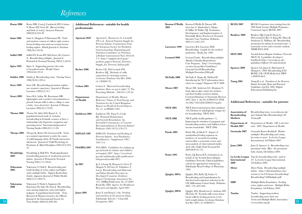## *References*

| Rozas 2000          | Rozas MR, Costa J, Cambredo MV, Colome<br>N, Bravo MT, Grau M. [Breast feeding]            | professionals       | Additional References - suitable for health                                 | 2003                | Kuzma-O'Reilly Kuzma-O'Reilly B, Duenas ML,<br>Greecher C, Kimberlin L, Mujsce   | <b>RCOG 2007</b>             | RCOG Consensus views arising from the<br>50th Study Group: Multiple Pregnancy     |
|---------------------|--------------------------------------------------------------------------------------------|---------------------|-----------------------------------------------------------------------------|---------------------|----------------------------------------------------------------------------------|------------------------------|-----------------------------------------------------------------------------------|
|                     | and birth of twins]. Atencion Primaria<br>2000;26(4):224-30.                               |                     |                                                                             |                     | D, Miller D, Walker DJ. Evaluation,<br>Development, and Implementation of        | Renfrew 2009                 | Consensus expert, RCOG 2007.<br>Renfrew MJ, Craig D, Dyson L,                     |
| Saint 1986          | Saint L, Maggiore P, Hartmann PE. Yield<br>and nutrient content of milk in eight women     | Agostoni 2010       | Agostoni C, Buonocore G, Carnielli<br>VP et al. Enteral Nutrient Supply for |                     | Potentially Better Practices in Neonatal<br>Intensive Care Nutrition. Pediatrics |                              | McCormick F, Rice S, King SE, Misso K,<br>Stenhouse E, Williams AF. Breastfeeding |
|                     | breast-feeding twins and one woman breast-                                                 |                     | Preterm Infants: Commentary from                                            |                     | 2003;111:e461-470.                                                               |                              | promotion for infants in neonatal units - a                                       |
|                     | feeding triplets. British Journal of Nutrition                                             |                     | the European Society for Paediatric                                         | Lawrence 1999       | Lawrence RA, Lawrence RM.                                                        |                              | systematic review and economic analysis.                                          |
|                     | 1986;56(1):49-58.                                                                          |                     | Gastroenterology, Hepatology, and                                           |                     | Breastfeeding. A guide for the medical                                           |                              | NIHR HTA 2009.                                                                    |
|                     |                                                                                            |                     | Nutrition Committee on Nutrition.                                           |                     | profession. Mosby, Inc 1999.                                                     | <b>SIGN 2009</b>             | Scottish Intercollegiate Guidance Network                                         |
| Sollid 1989         | Sollid DT, Evans BT, McClowry SG, Garrett                                                  |                     | J Pediatr Gastroenterol Nutr 2010;50:                                       | <b>Leonard 2006</b> |                                                                                  |                              | SIGN 50: A guideline developer's                                                  |
|                     | A. Breastfeeding multiples. Journal of                                                     |                     | 1-9. (http://espghan.med.up.pt/                                             |                     | Leonard Linda. Breastfeeding multiples<br>(British Columbia Reproductive         |                              | handbook (http://www.sign.ac.uk/                                                  |
|                     | Perinatal & Neonatal Nursing 1989;3(1):46-65.                                              |                     | position_papers/Enteral_Nutrient_                                           |                     | Care Program). (http://www.bcphp.                                                |                              | guidelines/fulltext/50/annexb.html).                                              |
| Spiro 1992          | Spiro A. Supporting parents who wish                                                       |                     | Supply_for_Preterm_Infants.pdf)                                             |                     | ca/sites/bcrcp/files/Guidelines/                                                 |                              |                                                                                   |
|                     | to breastfeed twins. Health Visitor                                                        | Becker 2008         | Becker GE, McCormick FM,                                                    |                     | General/Gen3CBreastfeeding                                                       | Spencer 2009                 | Spencer SA, Jones E, Hartmann P,                                                  |
|                     | 1992;65(6):197-8.                                                                          |                     | Renfrew MJ. Methods of milk                                                 |                     | MultiplesNovember2006.pdf)                                                       |                              | Morgan C. 2009. Breastfeeding [CD-<br>ROM]. UK: OCB Media Ltd. ISBN               |
|                     |                                                                                            |                     | expression for lactating women.                                             |                     |                                                                                  |                              | 1-904039-66-9.                                                                    |
| <b>Stables 1980</b> | Stables J. Breastfeeding twins. Nursing Times<br>1980;76(34):1493-4.                       |                     | Cochrane Database Syst Rev 2008;                                            | McNally 2008        | McNally S, Napier K, Welford H.<br>Introducing the NCT information sheet:        |                              |                                                                                   |
|                     |                                                                                            |                     | $(4)$ : CD006170.                                                           |                     | what's in a nappy? Simpsons NCT 2008.                                            | Tsang 2005                   | Tsang R et al. Nutrition of the Preterm                                           |
| <b>Storr 1989</b>   | Storr GB. Breastfeeding premature triplets:                                                | Colson 2005         | Colson S. Maternal breastfeeding                                            |                     |                                                                                  |                              | Infant: Scientific Basis and Practical                                            |
|                     | one woman's experience. Journal of Human                                                   |                     | positions: Have we got it right? (2) The                                    | Moore 2007          | Moore ER, Anderson GC, Bergman N.                                                |                              | Guidelines 2nd Ed. 2005: Digital                                                  |
|                     | Lactation 1989;5(2):74-7.                                                                  |                     | Practising Midwife, 2005,8:11:29-32.                                        |                     | Early skin-to-skin contact for mothers                                           |                              | Educational Publishing Inc.                                                       |
| <b>Szucs 2009</b>   | Szucs KA, Axline SE, Rosenman MB.                                                          |                     |                                                                             |                     | and their healthy newborn infants.                                               |                              |                                                                                   |
|                     | Quintuplets and a mother's determination to                                                | Department          | Department of Health, Dietary                                               |                     | CochraneDatabase of Systematic Reviews<br>2007, Issue 3. Art.No.:CD003519. DOI:  |                              |                                                                                   |
|                     | provide human milk: it takes a village to raise                                            | of Health           | Reference Values of Food Energy and                                         |                     | 10.1002/14651858.CD003519.pub2.                                                  |                              | <b>Additional References - suitable for parents</b>                               |
|                     | a baby - how about five? Journal of Human                                                  |                     | Nutrients for the United Kingdom.<br>Report on Health & Social Subjects     |                     |                                                                                  |                              |                                                                                   |
|                     | Lactation 2009;25(1):79-94.                                                                |                     | No. 41, in HMSO 1991.                                                       | <b>NICE 2005</b>    | NICE Interventional procedure guidance                                           |                              |                                                                                   |
|                     |                                                                                            |                     |                                                                             |                     | 149, Division of ankyloglossia (tongue-tie)                                      | Association of               | Breastfeeding twins. (www.abm.me.uk/                                              |
| <b>Thome 2006</b>   | Thome M, Alder EM, Ramel A. A<br>population-based study of exclusive                       | Embleton 2001       | Embleton NE, Pang N, Cooke                                                  |                     | for breastfeeding. NICE 2005.                                                    | <b>Breastfeeding</b>         | sites/default/files/Breastfeeding%20                                              |
|                     | breastfeeding in Icelandic women: is there a                                               |                     | RJ. Postnatal Malnutrition                                                  | <b>NICE 2008</b>    | NICE public health guidance 11,                                                  | Mothers                      | Twins.pdf                                                                         |
|                     | relationship with depressive symptoms and                                                  |                     | and Growth Retardation: An<br>Inevitable Consequence of Current             |                     | Improving the nutrition of pregnant and                                          |                              |                                                                                   |
|                     | parenting stress? International Journal of                                                 |                     | Recommendations in Preterm Infants?                                         |                     | breastfeeding mothers and children in low-                                       | Department of<br>Health 2007 | Department of Health. Off to the best                                             |
|                     | Nursing Studies 2006;43(1):11-20.                                                          |                     | Pediatrics 2001;107(2):270-273.                                             |                     | income households. NICE 2008.                                                    |                              | start. 2007, Department of Health.                                                |
|                     |                                                                                            |                     |                                                                             | Patole 2005         | Patole SK, de Klerk N. Impact of                                                 | Gromada 2007                 | Gromada Karen Kerkhoff. Mother                                                    |
| Thorpe 2003         | Thorpe K, Rutter M, Greenwood R. Twins<br>as a natural experiment to study the causes      | ESPGAN 1987         | ESPGAN, Nutrition and Feeding of                                            |                     | standardised feeding regimens on                                                 |                              | multiples: Breastfeeding and caring                                               |
|                     | of mild language delay: II: Family interaction                                             |                     | Preterm Infants. Acta Paediatrica                                           |                     | incidence of neonatal necrotising                                                |                              | for twins or more. La Leche League                                                |
|                     | risk factors. Journal of Child Psychology &                                                |                     | Scandinavica - Supplement 1987;<br>$336:1-14.$                              |                     | enterocolitis: a systematic review and                                           |                              | International, 3rd Edition 2007.                                                  |
|                     | Psychiatry & Allied Disciplines 2003;44(3):342-                                            |                     |                                                                             |                     | meta-analysis of observational studies.                                          | <b>Jones 2009</b>            | Jones E, Spencer A. Breastfeeding your                                            |
|                     | 55.                                                                                        | <b>FSA/BDA 2007</b> | FSA/BDA. Guidelines for making up                                           |                     | Arch. Dis. Child. Fetal Neonatal Ed                                              |                              | premature baby. Bliss - the premature                                             |
|                     |                                                                                            |                     | special feeds for infants and children                                      |                     | 2005;90:F147-151.                                                                |                              | baby charity, 6th Edition 2009.                                                   |
| Wooldridge<br>2003  | Wooldridge J, Hall WA. Posthospitalization<br>breastfeeding patterns of moderately preterm |                     | in hospital, 2007. (http://www.food.                                        | Petrie 1995         | Petrie, GJ, Barnwell E, Grimshaw J. on                                           |                              |                                                                                   |
|                     | infants. Journal of Perinatal & Neonatal                                                   |                     | gov.uk/multimedia/pdfs/publication/<br>babypowdertoolkit1007)               |                     | behalf of the Scottish Intercollegiate                                           |                              | La Leche League Tips for breastfeeding twins - pad of                             |
|                     | Nursing 2003;17(1):50-64.                                                                  |                     |                                                                             |                     | Guidelines Network. Clinical guidelines:                                         | International                | 50. La Leche League International,                                                |
|                     |                                                                                            | Ip 2007             | Ip S, Chung M, Raman G, Chew P,                                             |                     | criteria for appraisal for national use.                                         | 2009                         | 3rd Edition 2009.                                                                 |
| Yokoyama            | Yokoyama Y, Ooki S. Breast-feeding and                                                     |                     | Magula N, DeVine D, Trikalinos T,                                           |                     | Edinburgh: Royal College of Physicians,<br>1995.                                 | Meier                        | Meier Paula. Breastfeeding multiple                                               |
| 2004                | bottle-feeding of twins, triplets and higher                                               |                     | Lau J. Breastfeeding and Maternal                                           |                     |                                                                                  |                              | babies. (http://abbottnutrition.com/                                              |
|                     | order multiple births. Nippon Koshu Eisei                                                  |                     | and Infant Health Outcomes in                                               | Quigley 2007a       | Quigley MA, Kelly YJ, Sacker A.                                                  |                              | resources/en-US/home/breastfeeding/                                               |
|                     | Zasshi - Japanese Journal of Public Health<br>2004;51(11):969-74.                          |                     | Developed Countries. Evidence<br>Report/Technology Assessment No.           |                     | Breastfeeding and hospitalization for                                            |                              | Breastfeeding%20Multiples.pdf)                                                    |
|                     |                                                                                            |                     | 153. AHRQ Publication No. 07-E007.                                          |                     | diarrheal and respiratory infection in the                                       | <b>MBF</b>                   |                                                                                   |
| Yokoyama            | Yokoyama Y, Wada S, Sugimoto M,                                                            |                     | Rockville, MD: Agency for Healthcare                                        |                     | UK Millennium Cohort Study. Pediatrics                                           |                              | Multiple Births Foundation. Feeding<br>twins, triplets and more. Multiple Births  |
| 2006                | Katayama M, Saito M, Sono J. Breastfeeding                                                 |                     | Research and Quality. April 2007.                                           |                     | 2007, 119: e837-842.                                                             |                              | Foundation, 3rd Edition, 2004.                                                    |
|                     | rates among singletons, twins and triplets                                                 |                     |                                                                             | Quigley 2007b       | Quigley MA, Henderson G, Anthony MY,                                             |                              |                                                                                   |
|                     | in Japan: A population-based study. Twin                                                   | Jones 2005          | Jones E and King C (eds). Feeding                                           |                     | McGuire W. Formula milk versus donor                                             | Tamba                        | Tamba. Supporting mothers                                                         |
|                     | Research & Human Genetics: the Official                                                    |                     | and nutrition in the preterm infant.<br>Edinburgh: Elsevier / Churchill     |                     | breast milk for feeding preterm or low                                           |                              | breastfeeding more than one.                                                      |
|                     | Journal of the International Society for<br>Twin Studies 2006;9(2):298-302.                |                     | Livingstone 2005.                                                           |                     | birth weight infants. Cochrane Database                                          |                              | Twins and Multiple Births Association<br>55                                       |
|                     |                                                                                            |                     |                                                                             |                     | $Snet$ $Dext$ $9007 - (4) - C$ D009071                                           |                              | $\frac{1}{2}$                                                                     |

| 2003                | Kuzma-O'Reilly Kuzma-O'Reilly B, Duenas ML,<br>Greecher C, Kimberlin L, Mujsce<br>D, Miller D, Walker DJ. Evaluation,                                                                              | <b>RCOG 2007</b>                               | RCOG Consensus views arising from the<br>50th Study Group: Multiple Pregnancy<br>Consensus expert, RCOG 2007.                                                     |  |
|---------------------|----------------------------------------------------------------------------------------------------------------------------------------------------------------------------------------------------|------------------------------------------------|-------------------------------------------------------------------------------------------------------------------------------------------------------------------|--|
|                     | Development, and Implementation of<br>Potentially Better Practices in Neonatal<br>Intensive Care Nutrition. Pediatrics<br>2003;111:e461-470.                                                       | Renfrew 2009                                   | Renfrew MJ, Craig D, Dyson L,<br>McCormick F, Rice S, King SE, Misso K,<br>Stenhouse E, Williams AF. Breastfeeding<br>promotion for infants in neonatal units - a |  |
| Lawrence 1999       | Lawrence RA, Lawrence RM.<br>Breastfeeding. A guide for the medical<br>profession. Mosby, Inc 1999.                                                                                                |                                                | systematic review and economic analysis.<br>NIHR HTA 2009.                                                                                                        |  |
| <b>Leonard 2006</b> | Leonard Linda. Breastfeeding multiples<br>(British Columbia Reproductive                                                                                                                           | <b>SIGN 2009</b>                               | Scottish Intercollegiate Guidance Network<br>SIGN 50: A guideline developer's<br>handbook (http://www.sign.ac.uk/<br>guidelines/fulltext/50/annexb.html).         |  |
|                     | Care Program). (http://www.bcphp.<br>ca/sites/bcrcp/files/Guidelines/<br>General/Gen3CBreastfeeding<br>MultiplesNovember2006.pdf)                                                                  | Spencer 2009                                   | Spencer SA, Jones E, Hartmann P,<br>Morgan C. 2009. Breastfeeding [CD-<br>ROM]. UK: OCB Media Ltd. ISBN                                                           |  |
| McNally 2008        | McNally S, Napier K, Welford H.<br>Introducing the NCT information sheet:<br>what's in a nappy? Simpsons NCT 2008.                                                                                 | Tsang 2005                                     | 1-904039-66-9.<br>Tsang R et al. Nutrition of the Preterm<br>Infant: Scientific Basis and Practical                                                               |  |
| Moore 2007          | Moore ER, Anderson GC, Bergman N.<br>Early skin-to-skin contact for mothers<br>and their healthy newborn infants.                                                                                  |                                                | Guidelines 2nd Ed. 2005: Digital<br>Educational Publishing Inc.                                                                                                   |  |
|                     | CochraneDatabase of Systematic Reviews<br>2007, Issue 3. Art.No.:CD003519. DOI:<br>10.1002/14651858.CD003519.pub2.                                                                                 | Additional References - suitable for parents   |                                                                                                                                                                   |  |
| <b>NICE 2005</b>    | NICE Interventional procedure guidance<br>149, Division of ankyloglossia (tongue-tie)<br>for breastfeeding. NICE 2005.                                                                             | Association of<br><b>Breastfeeding</b>         | Breastfeeding twins. (www.abm.me.uk/<br>sites/default/files/Breastfeeding%20                                                                                      |  |
| <b>NICE 2008</b>    | NICE public health guidance 11,<br>Improving the nutrition of pregnant and<br>breastfeeding mothers and children in low-<br>income households. NICE 2008.                                          | <b>Mothers</b><br>Department of<br>Health 2007 | Twins.pdf)<br>Department of Health. Off to the best<br>start. 2007, Department of Health.                                                                         |  |
| Patole 2005         | Patole SK, de Klerk N. Impact of<br>standardised feeding regimens on<br>incidence of neonatal necrotising<br>enterocolitis: a systematic review and                                                | Gromada 2007                                   | Gromada Karen Kerkhoff. Mother<br>multiples: Breastfeeding and caring<br>for twins or more. La Leche League<br>International, 3rd Edition 2007.                   |  |
|                     | meta-analysis of observational studies.<br>Arch. Dis. Child. Fetal Neonatal Ed<br>2005;90:F147-151.                                                                                                | Jones 2009                                     | Jones E, Spencer A. Breastfeeding your<br>premature baby. Bliss - the premature<br>baby charity, 6th Edition 2009.                                                |  |
| Petrie 1995         | Petrie, GJ, Barnwell E, Grimshaw J. on<br>behalf of the Scottish Intercollegiate<br>Guidelines Network. Clinical guidelines:<br>criteria for appraisal for national use.                           | International<br>2009                          | La Leche League Tips for breastfeeding twins - pad of<br>50. La Leche League International,<br>3rd Edition 2009.                                                  |  |
| Quigley 2007a       | Edinburgh: Royal College of Physicians,<br>1995.                                                                                                                                                   | Meier                                          | Meier Paula. Breastfeeding multiple<br>babies. (http://abbottnutrition.com/<br>resources/en-US/home/breastfeeding/                                                |  |
|                     | Quigley MA, Kelly YJ, Sacker A.<br>Breastfeeding and hospitalization for<br>diarrheal and respiratory infection in the<br>UK Millennium Cohort Study. Pediatrics<br>2007, 119: e837-842.           | <b>MBF</b>                                     | Breastfeeding%20Multiples.pdf)<br>Multiple Births Foundation. Feeding<br>twins, triplets and more. Multiple Births<br>Foundation, 3rd Edition, 2004.              |  |
| Quigley 2007b       | Quigley MA, Henderson G, Anthony MY,<br>McGuire W. Formula milk versus donor<br>breast milk for feeding preterm or low<br>birth weight infants. Cochrane Database<br>Syst Rev 2007; (4): CD002971. | Tamba                                          | Tamba. Supporting mothers<br>breastfeeding more than one.<br>Twins and Multiple Births Association<br>(www.tamba.org.uk)                                          |  |